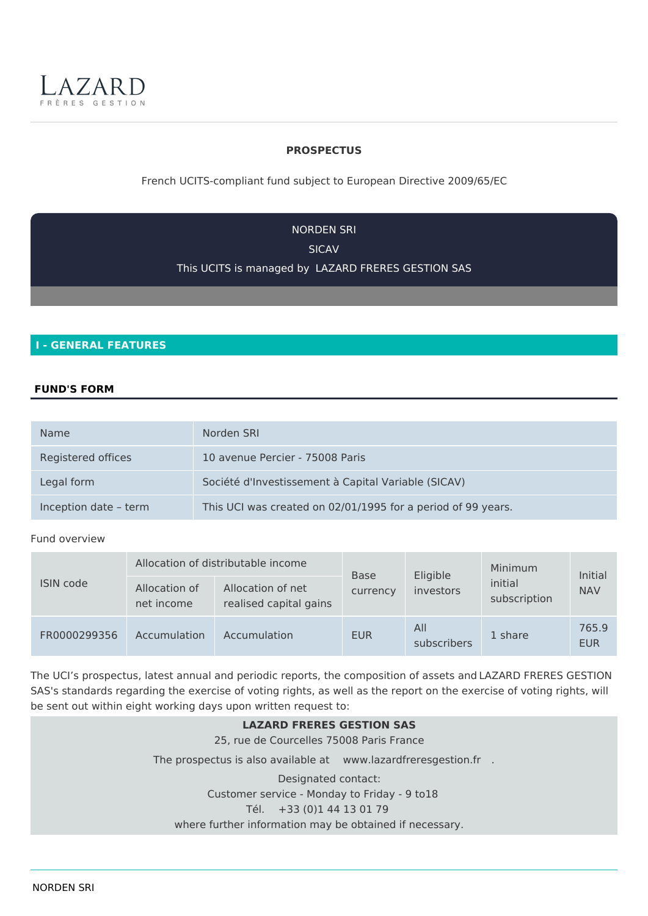

## **PROSPECTUS**

French UCITS-compliant fund subject to European Directive 2009/65/EC

**NORDEN SRI SICAV** 

This UCITS is managed by LAZARD FRERES GESTION SAS

# **I - GENERAL FEATURES**

## **FUND'S FORM**

| <b>Name</b>           | Norden SRI                                                   |
|-----------------------|--------------------------------------------------------------|
| Registered offices    | 10 avenue Percier - 75008 Paris                              |
| Legal form            | Société d'Investissement à Capital Variable (SICAV)          |
| Inception date - term | This UCI was created on 02/01/1995 for a period of 99 years. |

#### Fund overview

|                  | Allocation of distributable income |                                             | <b>Base</b> | Eligible           | Minimum                 | Initial             |
|------------------|------------------------------------|---------------------------------------------|-------------|--------------------|-------------------------|---------------------|
| <b>ISIN code</b> | Allocation of<br>net income        | Allocation of net<br>realised capital gains | currency    | investors          | initial<br>subscription | <b>NAV</b>          |
| FR0000299356     | Accumulation                       | Accumulation                                | <b>EUR</b>  | All<br>subscribers | 1 share                 | 765.9<br><b>EUR</b> |

The UCI's prospectus, latest annual and periodic reports, the composition of assets and LAZARD FRERES GESTION SAS's standards regarding the exercise of voting rights, as well as the report on the exercise of voting rights, will be sent out within eight working days upon written request to:

**LAZARD FRERES GESTION SAS** 25. rue de Courcelles 75008 Paris France The prospectus is also available at www.lazardfreresgestion.fr . Designated contact: Customer service - Monday to Friday - 9 to18 Tél. +33 (0)1 44 13 01 79 where further information may be obtained if necessary.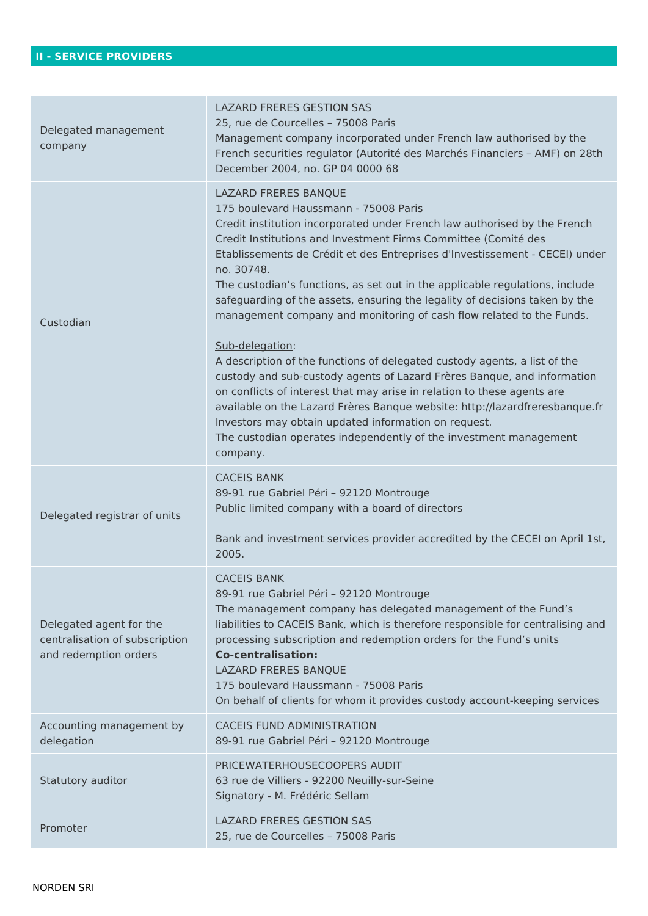| Delegated management<br>company                                                    | <b>LAZARD FRERES GESTION SAS</b><br>25, rue de Courcelles - 75008 Paris<br>Management company incorporated under French law authorised by the<br>French securities regulator (Autorité des Marchés Financiers - AMF) on 28th<br>December 2004, no. GP 04 0000 68                                                                                                                                                                                                                                                                                                                                                                                                                                                                                                                                                                                                                                                                                                                                                               |
|------------------------------------------------------------------------------------|--------------------------------------------------------------------------------------------------------------------------------------------------------------------------------------------------------------------------------------------------------------------------------------------------------------------------------------------------------------------------------------------------------------------------------------------------------------------------------------------------------------------------------------------------------------------------------------------------------------------------------------------------------------------------------------------------------------------------------------------------------------------------------------------------------------------------------------------------------------------------------------------------------------------------------------------------------------------------------------------------------------------------------|
| Custodian                                                                          | LAZARD FRERES BANQUE<br>175 boulevard Haussmann - 75008 Paris<br>Credit institution incorporated under French law authorised by the French<br>Credit Institutions and Investment Firms Committee (Comité des<br>Etablissements de Crédit et des Entreprises d'Investissement - CECEI) under<br>no. 30748.<br>The custodian's functions, as set out in the applicable regulations, include<br>safeguarding of the assets, ensuring the legality of decisions taken by the<br>management company and monitoring of cash flow related to the Funds.<br>Sub-delegation:<br>A description of the functions of delegated custody agents, a list of the<br>custody and sub-custody agents of Lazard Frères Banque, and information<br>on conflicts of interest that may arise in relation to these agents are<br>available on the Lazard Frères Banque website: http://lazardfreresbanque.fr<br>Investors may obtain updated information on request.<br>The custodian operates independently of the investment management<br>company. |
| Delegated registrar of units                                                       | <b>CACEIS BANK</b><br>89-91 rue Gabriel Péri - 92120 Montrouge<br>Public limited company with a board of directors<br>Bank and investment services provider accredited by the CECEI on April 1st,<br>2005.                                                                                                                                                                                                                                                                                                                                                                                                                                                                                                                                                                                                                                                                                                                                                                                                                     |
| Delegated agent for the<br>centralisation of subscription<br>and redemption orders | <b>CACEIS BANK</b><br>89-91 rue Gabriel Péri - 92120 Montrouge<br>The management company has delegated management of the Fund's<br>liabilities to CACEIS Bank, which is therefore responsible for centralising and<br>processing subscription and redemption orders for the Fund's units<br><b>Co-centralisation:</b><br>LAZARD FRERES BANQUE<br>175 boulevard Haussmann - 75008 Paris<br>On behalf of clients for whom it provides custody account-keeping services                                                                                                                                                                                                                                                                                                                                                                                                                                                                                                                                                           |
| Accounting management by<br>delegation                                             | <b>CACEIS FUND ADMINISTRATION</b><br>89-91 rue Gabriel Péri - 92120 Montrouge                                                                                                                                                                                                                                                                                                                                                                                                                                                                                                                                                                                                                                                                                                                                                                                                                                                                                                                                                  |
| Statutory auditor                                                                  | PRICEWATERHOUSECOOPERS AUDIT<br>63 rue de Villiers - 92200 Neuilly-sur-Seine<br>Signatory - M. Frédéric Sellam                                                                                                                                                                                                                                                                                                                                                                                                                                                                                                                                                                                                                                                                                                                                                                                                                                                                                                                 |
| Promoter                                                                           | <b>LAZARD FRERES GESTION SAS</b><br>25, rue de Courcelles - 75008 Paris                                                                                                                                                                                                                                                                                                                                                                                                                                                                                                                                                                                                                                                                                                                                                                                                                                                                                                                                                        |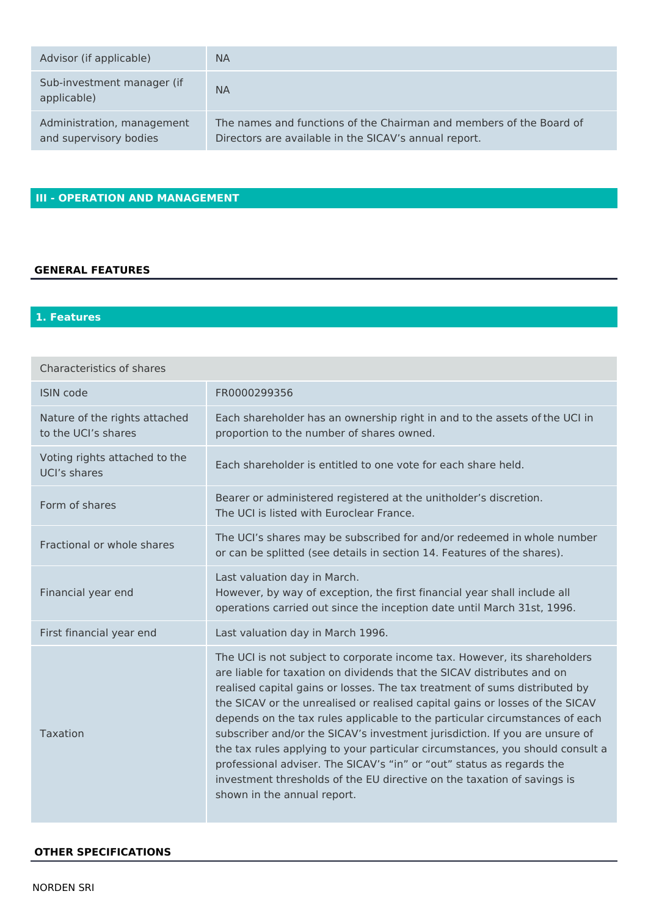| Advisor (if applicable)                              | <b>NA</b>                                                                                                                    |
|------------------------------------------------------|------------------------------------------------------------------------------------------------------------------------------|
| Sub-investment manager (if<br>applicable)            | <b>NA</b>                                                                                                                    |
| Administration, management<br>and supervisory bodies | The names and functions of the Chairman and members of the Board of<br>Directors are available in the SICAV's annual report. |

# **III - OPERATION AND MANAGEMENT**

# **GENERAL FEATURES**

# 1. Features

| <b>Characteristics of shares</b>                     |                                                                                                                                                                                                                                                                                                                                                                                                                                                                                                                                                                                                                                                                                                                                                     |
|------------------------------------------------------|-----------------------------------------------------------------------------------------------------------------------------------------------------------------------------------------------------------------------------------------------------------------------------------------------------------------------------------------------------------------------------------------------------------------------------------------------------------------------------------------------------------------------------------------------------------------------------------------------------------------------------------------------------------------------------------------------------------------------------------------------------|
| <b>ISIN code</b>                                     | FR0000299356                                                                                                                                                                                                                                                                                                                                                                                                                                                                                                                                                                                                                                                                                                                                        |
| Nature of the rights attached<br>to the UCI's shares | Each shareholder has an ownership right in and to the assets of the UCI in<br>proportion to the number of shares owned.                                                                                                                                                                                                                                                                                                                                                                                                                                                                                                                                                                                                                             |
| Voting rights attached to the<br>UCI's shares        | Each shareholder is entitled to one vote for each share held.                                                                                                                                                                                                                                                                                                                                                                                                                                                                                                                                                                                                                                                                                       |
| Form of shares                                       | Bearer or administered registered at the unitholder's discretion.<br>The UCI is listed with Euroclear France.                                                                                                                                                                                                                                                                                                                                                                                                                                                                                                                                                                                                                                       |
| Fractional or whole shares                           | The UCI's shares may be subscribed for and/or redeemed in whole number<br>or can be splitted (see details in section 14. Features of the shares).                                                                                                                                                                                                                                                                                                                                                                                                                                                                                                                                                                                                   |
| Financial year end                                   | Last valuation day in March.<br>However, by way of exception, the first financial year shall include all<br>operations carried out since the inception date until March 31st, 1996.                                                                                                                                                                                                                                                                                                                                                                                                                                                                                                                                                                 |
| First financial year end                             | Last valuation day in March 1996.                                                                                                                                                                                                                                                                                                                                                                                                                                                                                                                                                                                                                                                                                                                   |
| Taxation                                             | The UCI is not subject to corporate income tax. However, its shareholders<br>are liable for taxation on dividends that the SICAV distributes and on<br>realised capital gains or losses. The tax treatment of sums distributed by<br>the SICAV or the unrealised or realised capital gains or losses of the SICAV<br>depends on the tax rules applicable to the particular circumstances of each<br>subscriber and/or the SICAV's investment jurisdiction. If you are unsure of<br>the tax rules applying to your particular circumstances, you should consult a<br>professional adviser. The SICAV's "in" or "out" status as regards the<br>investment thresholds of the EU directive on the taxation of savings is<br>shown in the annual report. |

#### **OTHER SPECIFICATIONS**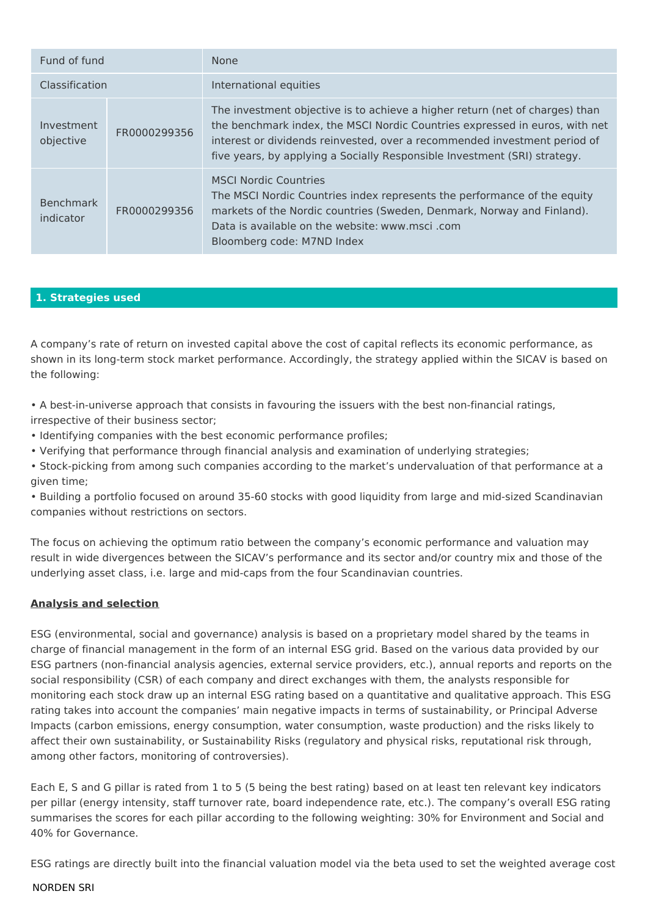| Fund of fund                  |              | None                                                                                                                                                                                                                                                                                                                  |
|-------------------------------|--------------|-----------------------------------------------------------------------------------------------------------------------------------------------------------------------------------------------------------------------------------------------------------------------------------------------------------------------|
| Classification                |              | International equities                                                                                                                                                                                                                                                                                                |
| Investment<br>objective       | FR0000299356 | The investment objective is to achieve a higher return (net of charges) than<br>the benchmark index, the MSCI Nordic Countries expressed in euros, with net<br>interest or dividends reinvested, over a recommended investment period of<br>five years, by applying a Socially Responsible Investment (SRI) strategy. |
| <b>Benchmark</b><br>indicator | FR0000299356 | <b>MSCI Nordic Countries</b><br>The MSCI Nordic Countries index represents the performance of the equity<br>markets of the Nordic countries (Sweden, Denmark, Norway and Finland).<br>Data is available on the website: www.msci.com<br>Bloomberg code: M7ND Index                                                    |

# 1. Strategies used

A company's rate of return on invested capital above the cost of capital reflects its economic performance, as shown in its long-term stock market performance. Accordingly, the strategy applied within the SICAV is based on the following:

• A best-in-universe approach that consists in favouring the issuers with the best non-financial ratings, irrespective of their business sector;

- Identifying companies with the best economic performance profiles;
- Verifying that performance through financial analysis and examination of underlying strategies;
- Stock-picking from among such companies according to the market's undervaluation of that performance at a given time:

. Building a portfolio focused on around 35-60 stocks with good liquidity from large and mid-sized Scandinavian companies without restrictions on sectors.

The focus on achieving the optimum ratio between the company's economic performance and valuation may result in wide divergences between the SICAV's performance and its sector and/or country mix and those of the underlying asset class, i.e. large and mid-caps from the four Scandinavian countries.

## **Analysis and selection**

ESG (environmental, social and governance) analysis is based on a proprietary model shared by the teams in charge of financial management in the form of an internal ESG grid. Based on the various data provided by our ESG partners (non-financial analysis agencies, external service providers, etc.), annual reports and reports on the social responsibility (CSR) of each company and direct exchanges with them, the analysts responsible for monitoring each stock draw up an internal ESG rating based on a quantitative and qualitative approach. This ESG rating takes into account the companies' main negative impacts in terms of sustainability, or Principal Adverse Impacts (carbon emissions, energy consumption, water consumption, waste production) and the risks likely to affect their own sustainability, or Sustainability Risks (regulatory and physical risks, reputational risk through, among other factors, monitoring of controversies).

Each E, S and G pillar is rated from 1 to 5 (5 being the best rating) based on at least ten relevant key indicators per pillar (energy intensity, staff turnover rate, board independence rate, etc.). The company's overall ESG rating summarises the scores for each pillar according to the following weighting: 30% for Environment and Social and 40% for Governance.

ESG ratings are directly built into the financial valuation model via the beta used to set the weighted average cost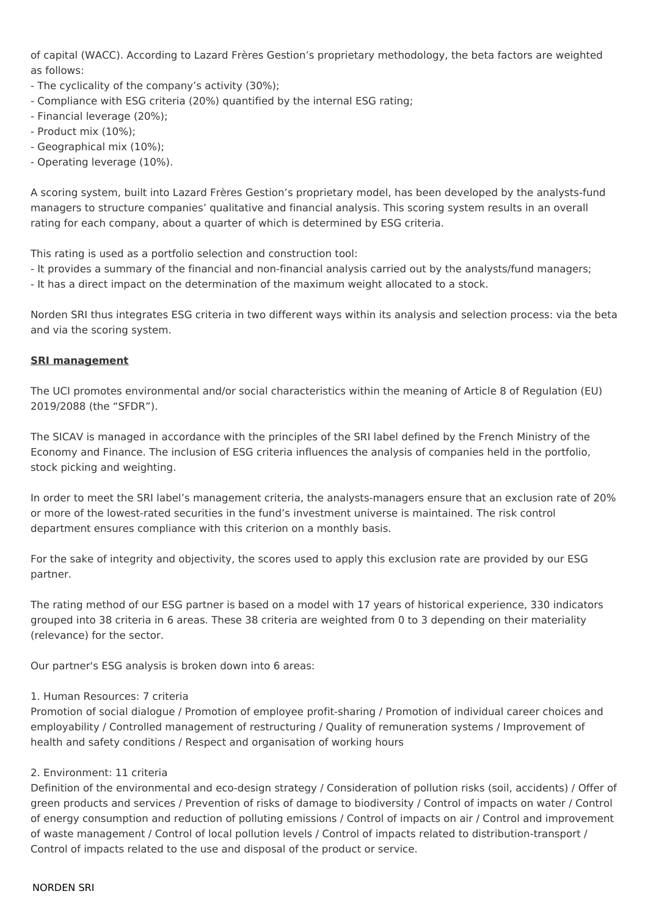of capital (WACC). According to Lazard Frères Gestion's proprietary methodology, the beta factors are weighted as follows:

- The cyclicality of the company's activity (30%);
- Compliance with ESG criteria (20%) quantified by the internal ESG rating;
- Financial leverage (20%):
- Product mix (10%):
- Geographical mix (10%);
- Operating leverage (10%).

A scoring system, built into Lazard Frères Gestion's proprietary model, has been developed by the analysts-fund managers to structure companies' qualitative and financial analysis. This scoring system results in an overall rating for each company, about a quarter of which is determined by ESG criteria.

This rating is used as a portfolio selection and construction tool:

- It provides a summary of the financial and non-financial analysis carried out by the analysts/fund managers;
- It has a direct impact on the determination of the maximum weight allocated to a stock.

Norden SRI thus integrates ESG criteria in two different ways within its analysis and selection process: via the beta and via the scoring system.

## **SRI management**

The UCI promotes environmental and/or social characteristics within the meaning of Article 8 of Regulation (EU) 2019/2088 (the "SFDR").

The SICAV is managed in accordance with the principles of the SRI label defined by the French Ministry of the Economy and Finance. The inclusion of ESG criteria influences the analysis of companies held in the portfolio, stock picking and weighting.

In order to meet the SRI label's management criteria, the analysts-managers ensure that an exclusion rate of 20% or more of the lowest-rated securities in the fund's investment universe is maintained. The risk control department ensures compliance with this criterion on a monthly basis.

For the sake of integrity and objectivity, the scores used to apply this exclusion rate are provided by our ESG partner.

The rating method of our ESG partner is based on a model with 17 years of historical experience, 330 indicators grouped into 38 criteria in 6 areas. These 38 criteria are weighted from 0 to 3 depending on their materiality (relevance) for the sector.

Our partner's ESG analysis is broken down into 6 areas:

## 1. Human Resources: 7 criteria

Promotion of social dialogue / Promotion of employee profit-sharing / Promotion of individual career choices and employability / Controlled management of restructuring / Quality of remuneration systems / Improvement of health and safety conditions / Respect and organisation of working hours

## 2. Environment: 11 criteria

Definition of the environmental and eco-design strategy / Consideration of pollution risks (soil, accidents) / Offer of green products and services / Prevention of risks of damage to biodiversity / Control of impacts on water / Control of energy consumption and reduction of polluting emissions / Control of impacts on air / Control and improvement of waste management / Control of local pollution levels / Control of impacts related to distribution-transport / Control of impacts related to the use and disposal of the product or service.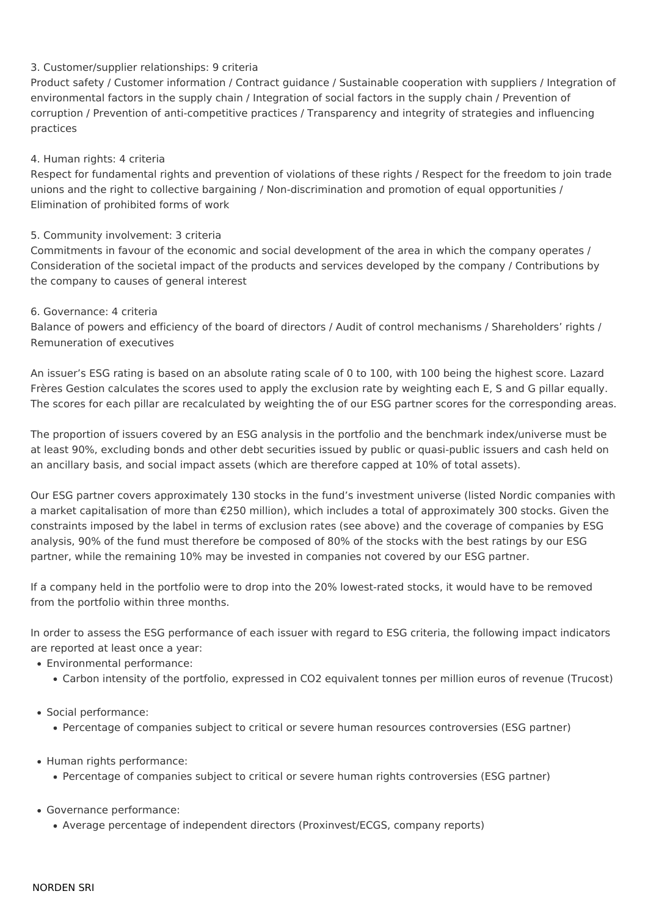# 3. Customer/supplier relationships: 9 criteria

Product safety / Customer information / Contract guidance / Sustainable cooperation with suppliers / Integration of environmental factors in the supply chain / Integration of social factors in the supply chain / Prevention of corruption / Prevention of anti-competitive practices / Transparency and integrity of strategies and influencing practices

# 4. Human rights: 4 criteria

Respect for fundamental rights and prevention of violations of these rights / Respect for the freedom to join trade unions and the right to collective bargaining / Non-discrimination and promotion of equal opportunities / Elimination of prohibited forms of work

# 5. Community involvement: 3 criteria

Commitments in favour of the economic and social development of the area in which the company operates / Consideration of the societal impact of the products and services developed by the company / Contributions by the company to causes of general interest

# 6. Governance: 4 criteria

Balance of powers and efficiency of the board of directors / Audit of control mechanisms / Shareholders' rights / Remuneration of executives

An issuer's ESG rating is based on an absolute rating scale of 0 to 100, with 100 being the highest score. Lazard Frères Gestion calculates the scores used to apply the exclusion rate by weighting each E, S and G pillar equally. The scores for each pillar are recalculated by weighting the of our ESG partner scores for the corresponding areas.

The proportion of issuers covered by an ESG analysis in the portfolio and the benchmark index/universe must be at least 90%, excluding bonds and other debt securities issued by public or quasi-public issuers and cash held on an ancillary basis, and social impact assets (which are therefore capped at 10% of total assets).

Our ESG partner covers approximately 130 stocks in the fund's investment universe (listed Nordic companies with a market capitalisation of more than €250 million), which includes a total of approximately 300 stocks. Given the constraints imposed by the label in terms of exclusion rates (see above) and the coverage of companies by ESG analysis, 90% of the fund must therefore be composed of 80% of the stocks with the best ratings by our ESG partner, while the remaining 10% may be invested in companies not covered by our ESG partner.

If a company held in the portfolio were to drop into the 20% lowest-rated stocks, it would have to be removed from the portfolio within three months.

In order to assess the ESG performance of each issuer with regard to ESG criteria, the following impact indicators are reported at least once a year:

- Environmental performance:
	- Carbon intensity of the portfolio, expressed in CO2 equivalent tonnes per million euros of revenue (Trucost)
- · Social performance:
	- Percentage of companies subject to critical or severe human resources controversies (ESG partner)
- Human rights performance:
	- Percentage of companies subject to critical or severe human rights controversies (ESG partner)
- · Governance performance:
	- Average percentage of independent directors (Proxinvest/ECGS, company reports)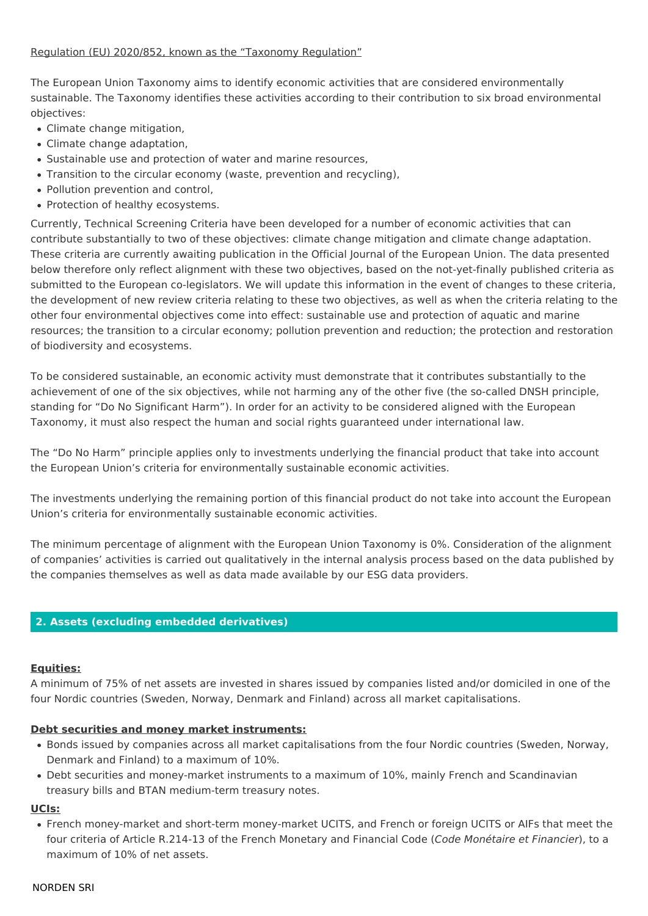# Regulation (EU) 2020/852, known as the "Taxonomy Regulation"

The European Union Taxonomy aims to identify economic activities that are considered environmentally sustainable. The Taxonomy identifies these activities according to their contribution to six broad environmental objectives:

- Climate change mitigation.
- Climate change adaptation,
- Sustainable use and protection of water and marine resources,
- Transition to the circular economy (waste, prevention and recycling),
- Pollution prevention and control,
- Protection of healthy ecosystems.

Currently, Technical Screening Criteria have been developed for a number of economic activities that can contribute substantially to two of these objectives: climate change mitigation and climate change adaptation. These criteria are currently awaiting publication in the Official Journal of the European Union. The data presented below therefore only reflect alignment with these two objectives, based on the not-yet-finally published criteria as submitted to the European co-legislators. We will update this information in the event of changes to these criteria, the development of new review criteria relating to these two objectives, as well as when the criteria relating to the other four environmental objectives come into effect: sustainable use and protection of aquatic and marine resources; the transition to a circular economy; pollution prevention and reduction; the protection and restoration of biodiversity and ecosystems.

To be considered sustainable, an economic activity must demonstrate that it contributes substantially to the achievement of one of the six objectives, while not harming any of the other five (the so-called DNSH principle, standing for "Do No Significant Harm"). In order for an activity to be considered aligned with the European Taxonomy, it must also respect the human and social rights guaranteed under international law.

The "Do No Harm" principle applies only to investments underlying the financial product that take into account the European Union's criteria for environmentally sustainable economic activities.

The investments underlying the remaining portion of this financial product do not take into account the European Union's criteria for environmentally sustainable economic activities.

The minimum percentage of alignment with the European Union Taxonomy is 0%. Consideration of the alignment of companies' activities is carried out qualitatively in the internal analysis process based on the data published by the companies themselves as well as data made available by our ESG data providers.

## 2. Assets (excluding embedded derivatives)

## **Equities:**

A minimum of 75% of net assets are invested in shares issued by companies listed and/or domiciled in one of the four Nordic countries (Sweden, Norway, Denmark and Finland) across all market capitalisations.

## Debt securities and money market instruments:

- . Bonds issued by companies across all market capitalisations from the four Nordic countries (Sweden, Norway, Denmark and Finland) to a maximum of 10%.
- Debt securities and money-market instruments to a maximum of 10%, mainly French and Scandinavian treasury bills and BTAN medium-term treasury notes.

#### UCIs:

• French money-market and short-term money-market UCITS, and French or foreign UCITS or AIFs that meet the four criteria of Article R.214-13 of the French Monetary and Financial Code (Code Monétaire et Financier), to a maximum of 10% of net assets.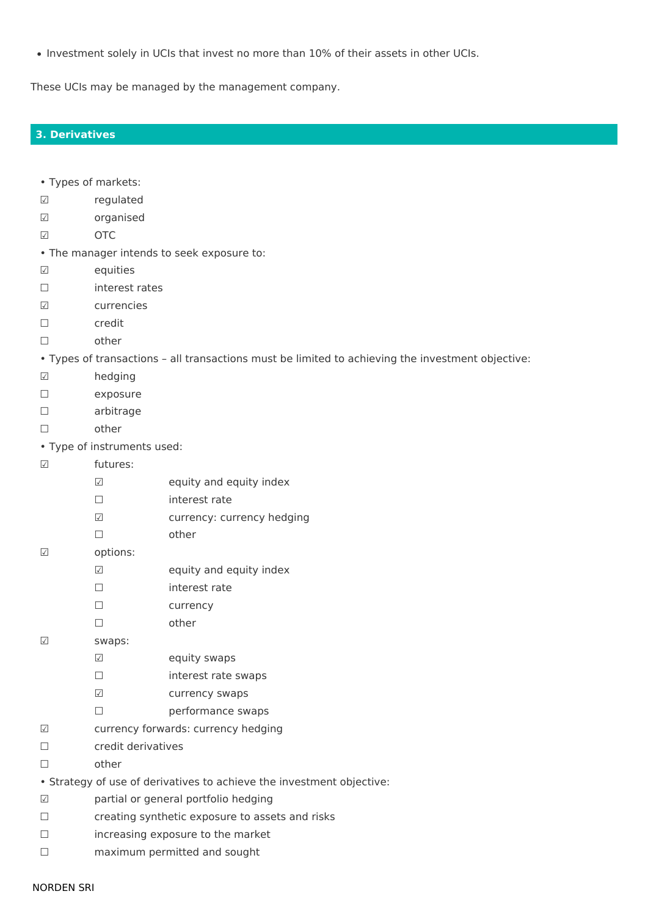. Investment solely in UCIs that invest no more than 10% of their assets in other UCIs.

These UCIs may be managed by the management company.

## **3. Derivatives**

- Types of markets:
- $\sqrt{ }$ regulated
- organised  $\sqrt{ }$
- $\sqrt{}$ **OTC**
- . The manager intends to seek exposure to:
- equities  $\sqrt{ }$
- interest rates  $\Box$
- $\sqrt{ }$ currencies
- credit  $\Box$
- other  $\Box$
- . Types of transactions all transactions must be limited to achieving the investment objective:
- hedging  $\sqrt{}$
- exposure  $\Box$
- $\Box$ arbitrage
- other  $\Box$
- Type of instruments used:
- $\sqrt{ }$ futures:
	- $\overline{\vee}$ equity and equity index
	- $\Box$ interest rate
	- currency: currency hedging  $\boxed{\checkmark}$
	- $\Box$ other
- $\sqrt{}$ options:
	- $\sqrt{ }$ equity and equity index
	- $\Box$ interest rate
	- $\Box$ currency
	- $\Box$ other
- $\sqrt{}$ swaps:
	- $\sqrt{ }$ equity swaps
	- $\Box$ interest rate swaps
	- $\boxed{\checkmark}$ currency swaps
	- performance swaps  $\Box$
- currency forwards: currency hedging  $\sqrt{ }$
- credit derivatives  $\Box$
- other  $\Box$
- Strategy of use of derivatives to achieve the investment objective:
- partial or general portfolio hedging  $\sqrt{ }$
- creating synthetic exposure to assets and risks  $\Box$
- $\Box$ increasing exposure to the market
- $\Box$ maximum permitted and sought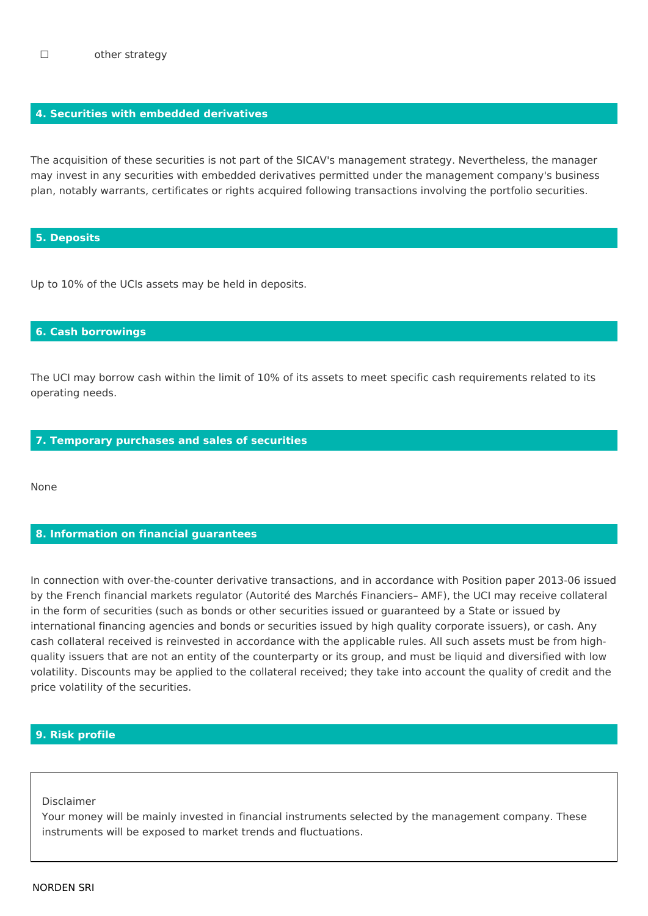# 4. Securities with embedded derivatives

The acquisition of these securities is not part of the SICAV's management strategy. Nevertheless, the manager may invest in any securities with embedded derivatives permitted under the management company's business plan, notably warrants, certificates or rights acquired following transactions involving the portfolio securities.

#### **5. Deposits**

Up to 10% of the UCIs assets may be held in deposits.

## **6. Cash borrowings**

The UCI may borrow cash within the limit of 10% of its assets to meet specific cash requirements related to its operating needs.

#### 7. Temporary purchases and sales of securities

None

#### 8. Information on financial guarantees

In connection with over-the-counter derivative transactions, and in accordance with Position paper 2013-06 issued by the French financial markets regulator (Autorité des Marchés Financiers- AMF), the UCI may receive collateral in the form of securities (such as bonds or other securities issued or guaranteed by a State or issued by international financing agencies and bonds or securities issued by high quality corporate issuers), or cash. Any cash collateral received is reinvested in accordance with the applicable rules. All such assets must be from highquality issuers that are not an entity of the counterparty or its group, and must be liquid and diversified with low volatility. Discounts may be applied to the collateral received; they take into account the quality of credit and the price volatility of the securities.

# 9. Risk profile

Disclaimer

Your money will be mainly invested in financial instruments selected by the management company. These instruments will be exposed to market trends and fluctuations.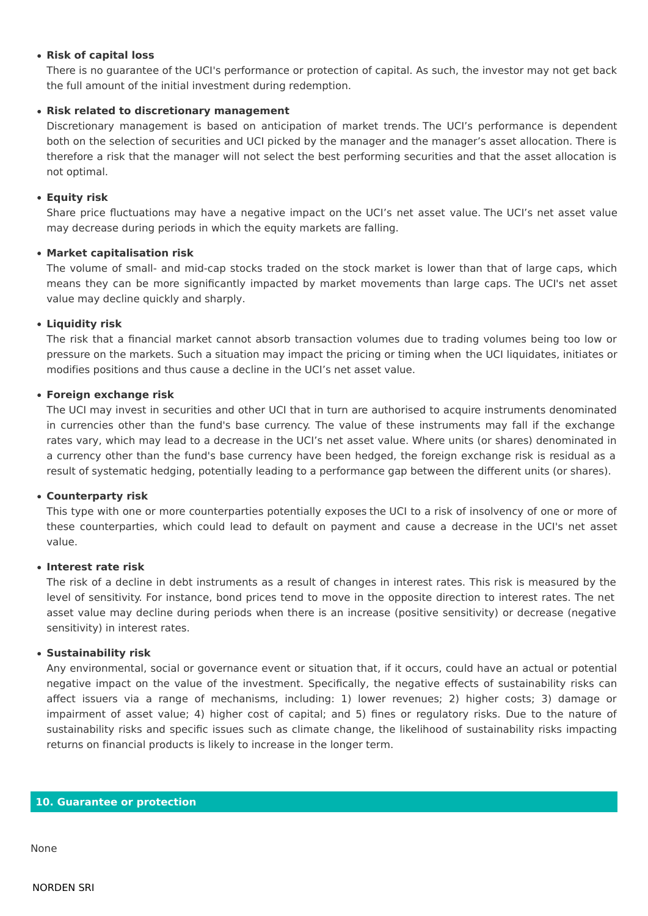## • Risk of capital loss

There is no quarantee of the UCI's performance or protection of capital. As such, the investor may not get back the full amount of the initial investment during redemption.

# • Risk related to discretionary management

Discretionary management is based on anticipation of market trends. The UCI's performance is dependent both on the selection of securities and UCI picked by the manager and the manager's asset allocation. There is therefore a risk that the manager will not select the best performing securities and that the asset allocation is not optimal.

# • Eauity risk

Share price fluctuations may have a negative impact on the UCI's net asset value. The UCI's net asset value may decrease during periods in which the equity markets are falling.

## • Market capitalisation risk

The volume of small- and mid-cap stocks traded on the stock market is lower than that of large caps, which means they can be more significantly impacted by market movements than large caps. The UCI's net asset value may decline quickly and sharply.

# • Liauidity risk

The risk that a financial market cannot absorb transaction volumes due to trading volumes being too low or pressure on the markets. Such a situation may impact the pricing or timing when the UCI liquidates, initiates or modifies positions and thus cause a decline in the UCI's net asset value.

# • Foreign exchange risk

The UCI may invest in securities and other UCI that in turn are authorised to acquire instruments denominated in currencies other than the fund's base currency. The value of these instruments may fall if the exchange rates vary, which may lead to a decrease in the UCI's net asset value. Where units (or shares) denominated in a currency other than the fund's base currency have been hedged, the foreign exchange risk is residual as a result of systematic hedging, potentially leading to a performance gap between the different units (or shares).

## • Counterparty risk

This type with one or more counterparties potentially exposes the UCI to a risk of insolvency of one or more of these counterparties, which could lead to default on payment and cause a decrease in the UCI's net asset value.

## • Interest rate risk

The risk of a decline in debt instruments as a result of changes in interest rates. This risk is measured by the level of sensitivity. For instance, bond prices tend to move in the opposite direction to interest rates. The net asset value may decline during periods when there is an increase (positive sensitivity) or decrease (negative sensitivity) in interest rates.

## • Sustainability risk

Any environmental, social or governance event or situation that, if it occurs, could have an actual or potential negative impact on the value of the investment. Specifically, the negative effects of sustainability risks can affect issuers via a range of mechanisms, including: 1) lower revenues: 2) higher costs: 3) damage or impairment of asset value; 4) higher cost of capital; and 5) fines or regulatory risks. Due to the nature of sustainability risks and specific issues such as climate change, the likelihood of sustainability risks impacting returns on financial products is likely to increase in the longer term.

#### 10. Guarantee or protection

None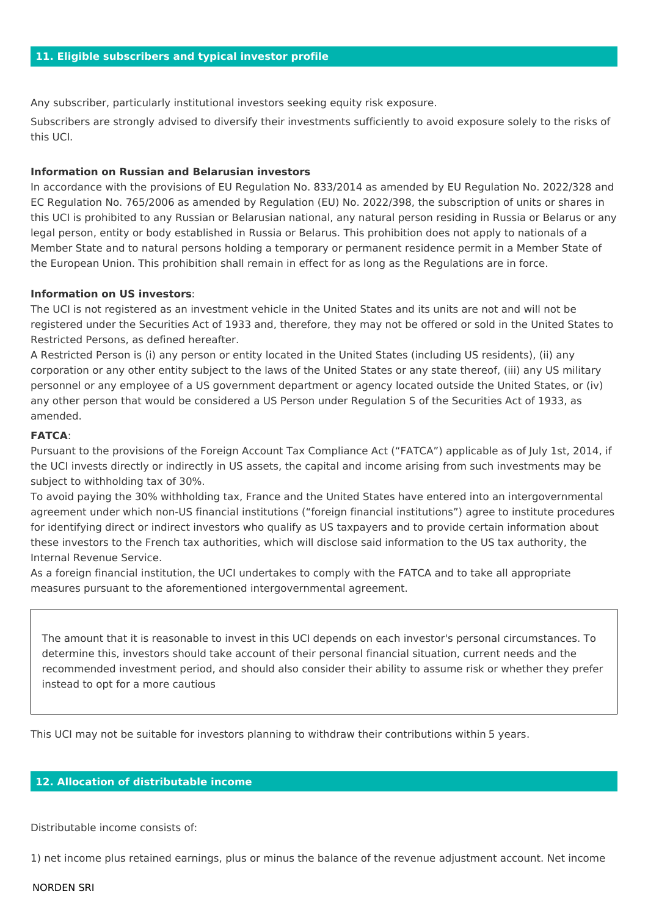Any subscriber, particularly institutional investors seeking equity risk exposure.

Subscribers are strongly advised to diversify their investments sufficiently to avoid exposure solely to the risks of this UCI.

## **Information on Russian and Belarusian investors**

In accordance with the provisions of EU Regulation No. 833/2014 as amended by EU Regulation No. 2022/328 and EC Regulation No. 765/2006 as amended by Regulation (EU) No. 2022/398, the subscription of units or shares in this UCI is prohibited to any Russian or Belarusian national, any natural person residing in Russia or Belarus or any legal person, entity or body established in Russia or Belarus. This prohibition does not apply to nationals of a Member State and to natural persons holding a temporary or permanent residence permit in a Member State of the European Union. This prohibition shall remain in effect for as long as the Regulations are in force.

#### **Information on US investors:**

The UCI is not registered as an investment vehicle in the United States and its units are not and will not be registered under the Securities Act of 1933 and, therefore, they may not be offered or sold in the United States to Restricted Persons, as defined hereafter.

A Restricted Person is (i) any person or entity located in the United States (including US residents), (ii) any corporation or any other entity subject to the laws of the United States or any state thereof, (iii) any US military personnel or any employee of a US government department or agency located outside the United States, or (iv) any other person that would be considered a US Person under Regulation S of the Securities Act of 1933, as amended

## **FATCA:**

Pursuant to the provisions of the Foreign Account Tax Compliance Act ("FATCA") applicable as of July 1st, 2014, if the UCI invests directly or indirectly in US assets, the capital and income arising from such investments may be subject to withholding tax of 30%.

To avoid paying the 30% withholding tax, France and the United States have entered into an intergovernmental agreement under which non-US financial institutions ("foreign financial institutions") agree to institute procedures for identifying direct or indirect investors who qualify as US taxpayers and to provide certain information about these investors to the French tax authorities, which will disclose said information to the US tax authority, the Internal Revenue Service.

As a foreign financial institution, the UCI undertakes to comply with the FATCA and to take all appropriate measures pursuant to the aforementioned intergovernmental agreement.

The amount that it is reasonable to invest in this UCI depends on each investor's personal circumstances. To determine this, investors should take account of their personal financial situation, current needs and the recommended investment period, and should also consider their ability to assume risk or whether they prefer instead to opt for a more cautious

This UCI may not be suitable for investors planning to withdraw their contributions within 5 years.

## 12. Allocation of distributable income

Distributable income consists of:

1) net income plus retained earnings, plus or minus the balance of the revenue adjustment account. Net income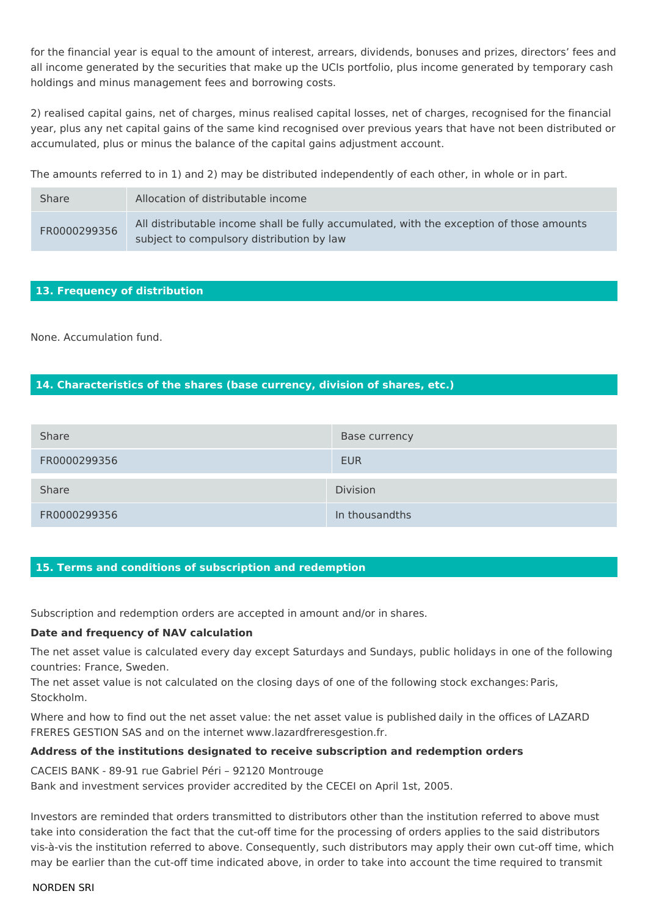for the financial year is equal to the amount of interest, arrears, dividends, bonuses and prizes, directors' fees and all income generated by the securities that make up the UCIs portfolio, plus income generated by temporary cash holdings and minus management fees and borrowing costs.

2) realised capital gains, net of charges, minus realised capital losses, net of charges, recognised for the financial year, plus any net capital gains of the same kind recognised over previous years that have not been distributed or accumulated, plus or minus the balance of the capital gains adjustment account.

The amounts referred to in 1) and 2) may be distributed independently of each other, in whole or in part.

| <b>Share</b> | Allocation of distributable income                                                                                                    |
|--------------|---------------------------------------------------------------------------------------------------------------------------------------|
| FR0000299356 | All distributable income shall be fully accumulated, with the exception of those amounts<br>subject to compulsory distribution by law |

# 13. Frequency of distribution

None. Accumulation fund.

# 14. Characteristics of the shares (base currency, division of shares, etc.)

| <b>Share</b> | Base currency   |
|--------------|-----------------|
| FR0000299356 | <b>EUR</b>      |
| <b>Share</b> | <b>Division</b> |
| FR0000299356 | In thousandths  |

## 15. Terms and conditions of subscription and redemption

Subscription and redemption orders are accepted in amount and/or in shares.

## Date and frequency of NAV calculation

The net asset value is calculated every day except Saturdays and Sundays, public holidays in one of the following countries: France, Sweden.

The net asset value is not calculated on the closing days of one of the following stock exchanges: Paris, Stockholm.

Where and how to find out the net asset value: the net asset value is published daily in the offices of LAZARD FRERES GESTION SAS and on the internet www.lazardfreresgestion.fr.

## Address of the institutions designated to receive subscription and redemption orders

CACEIS BANK - 89-91 rue Gabriel Péri - 92120 Montrouge

Bank and investment services provider accredited by the CECEI on April 1st, 2005.

Investors are reminded that orders transmitted to distributors other than the institution referred to above must take into consideration the fact that the cut-off time for the processing of orders applies to the said distributors vis-à-vis the institution referred to above. Consequently, such distributors may apply their own cut-off time, which may be earlier than the cut-off time indicated above, in order to take into account the time required to transmit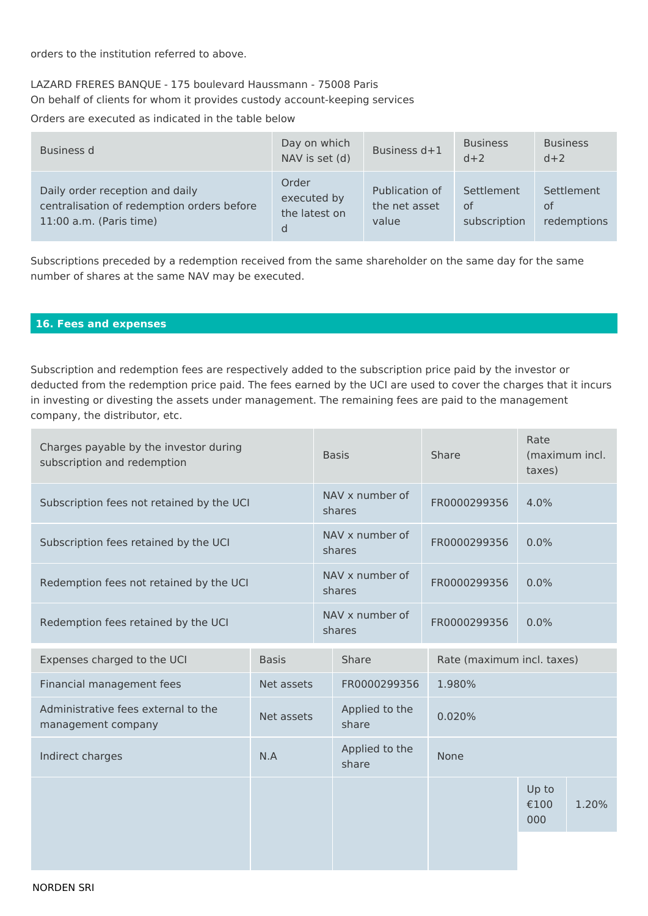orders to the institution referred to above.

# LAZARD FRERES BANQUE - 175 boulevard Haussmann - 75008 Paris On behalf of clients for whom it provides custody account-keeping services

Orders are executed as indicated in the table below

| Business d                                                                                               | Day on which<br>NAV is set (d)             | Business d+1                             | <b>Business</b><br>$d+2$         | <b>Business</b><br>$d+2$        |
|----------------------------------------------------------------------------------------------------------|--------------------------------------------|------------------------------------------|----------------------------------|---------------------------------|
| Daily order reception and daily<br>centralisation of redemption orders before<br>11:00 a.m. (Paris time) | Order<br>executed by<br>the latest on<br>d | Publication of<br>the net asset<br>value | Settlement<br>of<br>subscription | Settlement<br>0f<br>redemptions |

Subscriptions preceded by a redemption received from the same shareholder on the same day for the same number of shares at the same NAV may be executed.

# 16. Fees and expenses

Subscription and redemption fees are respectively added to the subscription price paid by the investor or deducted from the redemption price paid. The fees earned by the UCI are used to cover the charges that it incurs in investing or divesting the assets under management. The remaining fees are paid to the management company, the distributor, etc.

| Charges payable by the investor during<br>subscription and redemption |                       | <b>Basis</b>              |                         | Share                      | Rate<br>(maximum incl.<br>taxes) |       |  |
|-----------------------------------------------------------------------|-----------------------|---------------------------|-------------------------|----------------------------|----------------------------------|-------|--|
| Subscription fees not retained by the UCI                             |                       | NAV x number of<br>shares |                         | FR0000299356               | 4.0%                             |       |  |
| Subscription fees retained by the UCI                                 |                       | NAV x number of<br>shares |                         | FR0000299356               | 0.0%                             |       |  |
| Redemption fees not retained by the UCI                               |                       | NAV x number of<br>shares |                         | FR0000299356               | 0.0%                             |       |  |
| Redemption fees retained by the UCI                                   |                       | NAV x number of<br>shares |                         | FR0000299356               | 0.0%                             |       |  |
| Expenses charged to the UCI                                           | <b>Basis</b><br>Share |                           |                         | Rate (maximum incl. taxes) |                                  |       |  |
| Financial management fees                                             | Net assets            |                           | FR0000299356            | 1.980%                     |                                  |       |  |
| Administrative fees external to the<br>management company             | Net assets            |                           | Applied to the<br>share | 0.020%                     |                                  |       |  |
| Indirect charges                                                      | N.A                   |                           | Applied to the<br>share | None                       |                                  |       |  |
|                                                                       |                       |                           |                         |                            | Up to<br>€100<br>000             | 1.20% |  |
|                                                                       |                       |                           |                         |                            |                                  |       |  |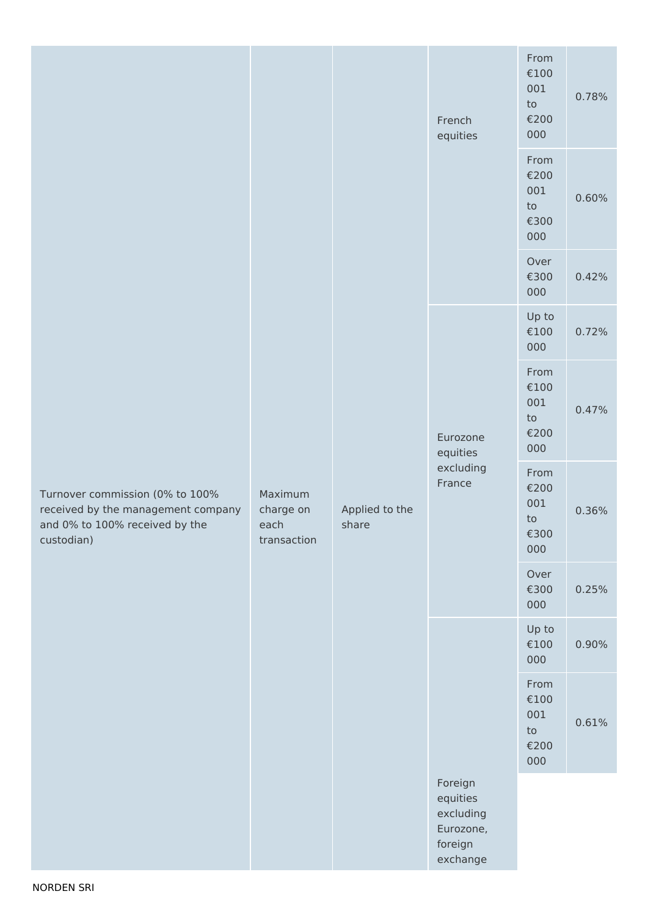| Turnover commission (0% to 100%<br>received by the management company<br>and 0% to 100% received by the<br>custodian) |                                             |                         | French<br>equities                                                   | From<br>€100<br>001<br>to<br>€200<br>000                     | 0.78% |
|-----------------------------------------------------------------------------------------------------------------------|---------------------------------------------|-------------------------|----------------------------------------------------------------------|--------------------------------------------------------------|-------|
|                                                                                                                       |                                             |                         |                                                                      | From<br>€200<br>001<br>to<br>€300<br>000                     | 0.60% |
|                                                                                                                       |                                             |                         |                                                                      | Over<br>€300<br>000                                          | 0.42% |
|                                                                                                                       |                                             |                         | Eurozone<br>equities<br>excluding<br>France                          | Up to<br>€100<br>000                                         | 0.72% |
|                                                                                                                       | Maximum<br>charge on<br>each<br>transaction | Applied to the<br>share |                                                                      | From<br>€100<br>001<br>to<br>€200<br>000                     | 0.47% |
|                                                                                                                       |                                             |                         |                                                                      | From<br>€200<br>001<br>$\mathop{\mathtt{to}}$<br>€300<br>000 | 0.36% |
|                                                                                                                       |                                             |                         |                                                                      | Over<br>€300<br>000                                          | 0.25% |
|                                                                                                                       |                                             |                         |                                                                      | Up to<br>$\epsilon$ 100<br>000                               | 0.90% |
|                                                                                                                       |                                             |                         |                                                                      | From<br>$\epsilon$ 100<br>001<br>${\sf to}$<br>€200<br>000   | 0.61% |
|                                                                                                                       |                                             |                         | Foreign<br>equities<br>excluding<br>Eurozone,<br>foreign<br>exchange |                                                              |       |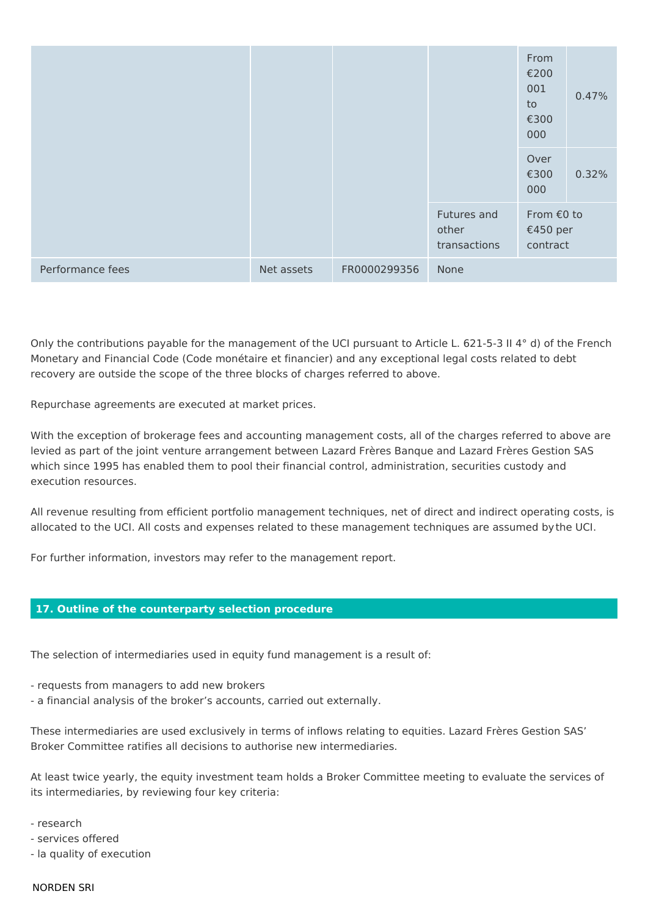|                  |            |              |                                      | From<br>€200<br>001<br>to<br>€300<br>000 | 0.47% |
|------------------|------------|--------------|--------------------------------------|------------------------------------------|-------|
|                  |            |              |                                      | Over<br>€300<br>000                      | 0.32% |
|                  |            |              | Futures and<br>other<br>transactions | From €0 to<br>€450 per<br>contract       |       |
| Performance fees | Net assets | FR0000299356 | None                                 |                                          |       |

Only the contributions payable for the management of the UCI pursuant to Article L. 621-5-3 II 4° d) of the French Monetary and Financial Code (Code monétaire et financier) and any exceptional legal costs related to debt recovery are outside the scope of the three blocks of charges referred to above.

Repurchase agreements are executed at market prices.

With the exception of brokerage fees and accounting management costs, all of the charges referred to above are levied as part of the joint venture arrangement between Lazard Frères Banque and Lazard Frères Gestion SAS which since 1995 has enabled them to pool their financial control, administration, securities custody and execution resources.

All revenue resulting from efficient portfolio management techniques, net of direct and indirect operating costs, is allocated to the UCI. All costs and expenses related to these management techniques are assumed by the UCI.

For further information, investors may refer to the management report.

## 17. Outline of the counterparty selection procedure

The selection of intermediaries used in equity fund management is a result of:

- requests from managers to add new brokers
- a financial analysis of the broker's accounts, carried out externally.

These intermediaries are used exclusively in terms of inflows relating to equities. Lazard Frères Gestion SAS' Broker Committee ratifies all decisions to authorise new intermediaries.

At least twice yearly, the equity investment team holds a Broker Committee meeting to evaluate the services of its intermediaries, by reviewing four key criteria:

- research
- services offered
- la quality of execution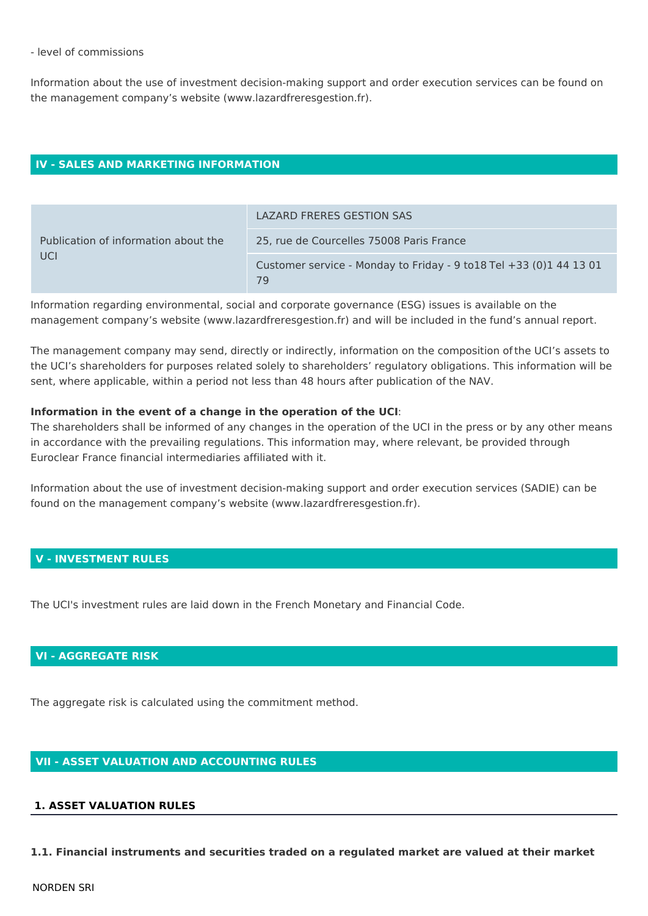#### - level of commissions

Information about the use of investment decision-making support and order execution services can be found on the management company's website (www.lazardfreresgestion.fr).

## **IV - SALES AND MARKETING INFORMATION**

| Publication of information about the<br>UCI | LAZARD FRERES GESTION SAS                                                     |
|---------------------------------------------|-------------------------------------------------------------------------------|
|                                             | 25, rue de Courcelles 75008 Paris France                                      |
|                                             | Customer service - Monday to Friday - 9 to $18$ Tel $+33$ (0) 144 13 01<br>79 |

Information regarding environmental, social and corporate governance (ESG) issues is available on the management company's website (www.lazardfreresgestion.fr) and will be included in the fund's annual report.

The management company may send, directly or indirectly, information on the composition of the UCI's assets to the UCI's shareholders for purposes related solely to shareholders' regulatory obligations. This information will be sent, where applicable, within a period not less than 48 hours after publication of the NAV.

## Information in the event of a change in the operation of the UCI:

The shareholders shall be informed of any changes in the operation of the UCI in the press or by any other means in accordance with the prevailing regulations. This information may, where relevant, be provided through Euroclear France financial intermediaries affiliated with it.

Information about the use of investment decision-making support and order execution services (SADIE) can be found on the management company's website (www.lazardfreresgestion.fr).

# **V - INVESTMENT RULES**

The UCI's investment rules are laid down in the French Monetary and Financial Code.

# **VI - AGGREGATE RISK**

The aggregate risk is calculated using the commitment method.

# **VII - ASSET VALUATION AND ACCOUNTING RULES**

# **1. ASSET VALUATION RULES**

1.1. Financial instruments and securities traded on a regulated market are valued at their market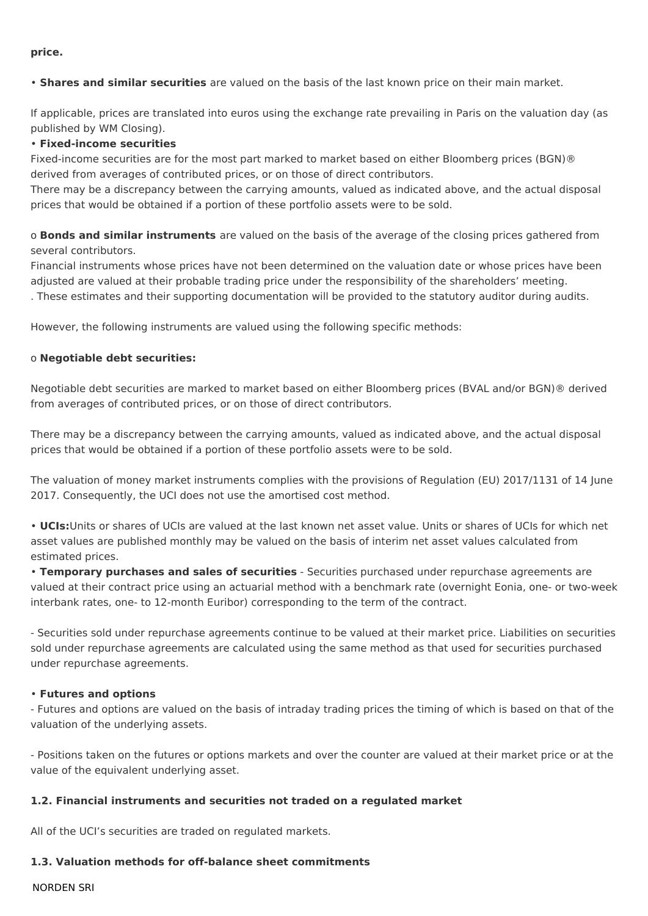price.

. Shares and similar securities are valued on the basis of the last known price on their main market.

If applicable, prices are translated into euros using the exchange rate prevailing in Paris on the valuation day (as published by WM Closing).

# • Fixed-income securities

Fixed-income securities are for the most part marked to market based on either Bloomberg prices (BGN)® derived from averages of contributed prices, or on those of direct contributors.

There may be a discrepancy between the carrying amounts, valued as indicated above, and the actual disposal prices that would be obtained if a portion of these portfolio assets were to be sold.

o **Bonds and similar instruments** are valued on the basis of the average of the closing prices gathered from several contributors.

Financial instruments whose prices have not been determined on the valuation date or whose prices have been adjusted are valued at their probable trading price under the responsibility of the shareholders' meeting.

. These estimates and their supporting documentation will be provided to the statutory auditor during audits.

However, the following instruments are valued using the following specific methods:

## o Negotiable debt securities:

Negotiable debt securities are marked to market based on either Bloomberg prices (BVAL and/or BGN)® derived from averages of contributed prices, or on those of direct contributors.

There may be a discrepancy between the carrying amounts, valued as indicated above, and the actual disposal prices that would be obtained if a portion of these portfolio assets were to be sold.

The valuation of money market instruments complies with the provisions of Regulation (EU) 2017/1131 of 14 June 2017. Consequently, the UCI does not use the amortised cost method.

. UCIs: Units or shares of UCIs are valued at the last known net asset value. Units or shares of UCIs for which net asset values are published monthly may be valued on the basis of interim net asset values calculated from estimated prices.

• Temporary purchases and sales of securities - Securities purchased under repurchase agreements are valued at their contract price using an actuarial method with a benchmark rate (overnight Eonia, one- or two-week interbank rates, one- to 12-month Euribor) corresponding to the term of the contract.

- Securities sold under repurchase agreements continue to be valued at their market price. Liabilities on securities sold under repurchase agreements are calculated using the same method as that used for securities purchased under repurchase agreements.

## **• Futures and options**

- Futures and options are valued on the basis of intraday trading prices the timing of which is based on that of the valuation of the underlying assets.

- Positions taken on the futures or options markets and over the counter are valued at their market price or at the value of the equivalent underlying asset.

## 1.2. Financial instruments and securities not traded on a regulated market

All of the UCI's securities are traded on regulated markets.

## 1.3. Valuation methods for off-balance sheet commitments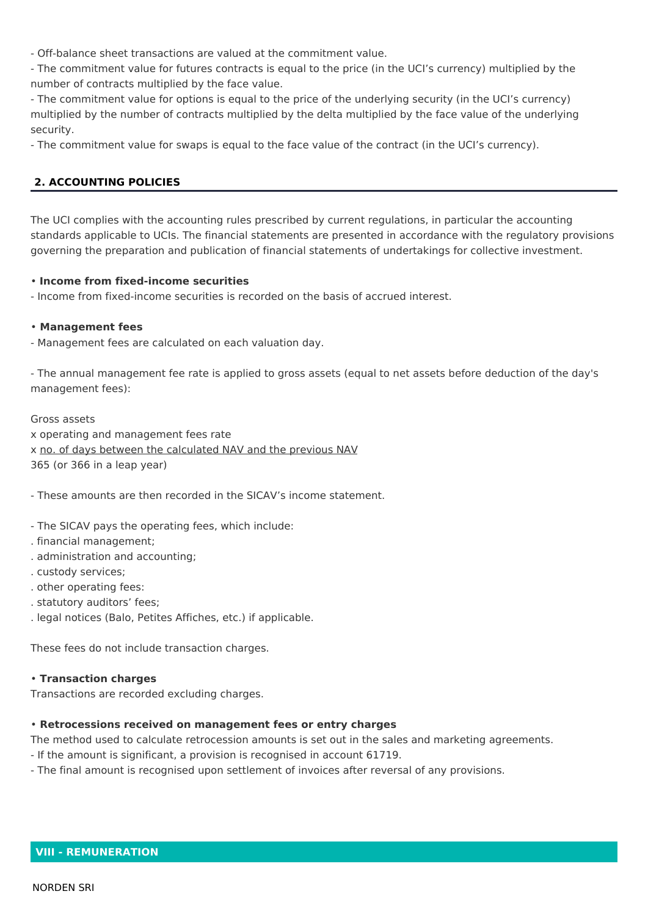- Off-balance sheet transactions are valued at the commitment value.

- The commitment value for futures contracts is equal to the price (in the UCI's currency) multiplied by the number of contracts multiplied by the face value.

- The commitment value for options is equal to the price of the underlying security (in the UCI's currency) multiplied by the number of contracts multiplied by the delta multiplied by the face value of the underlying security.

- The commitment value for swaps is equal to the face value of the contract (in the UCI's currency).

# **2. ACCOUNTING POLICIES**

The UCI complies with the accounting rules prescribed by current regulations, in particular the accounting standards applicable to UCIs. The financial statements are presented in accordance with the regulatory provisions governing the preparation and publication of financial statements of undertakings for collective investment.

## . Income from fixed-income securities

- Income from fixed-income securities is recorded on the basis of accrued interest.

## • Management fees

- Management fees are calculated on each valuation day.

- The annual management fee rate is applied to gross assets (equal to net assets before deduction of the day's management fees):

Gross assets x operating and management fees rate x no. of days between the calculated NAV and the previous NAV 365 (or 366 in a leap year)

- These amounts are then recorded in the SICAV's income statement.

- The SICAV pays the operating fees, which include:
- . financial management;
- . administration and accounting;
- . custody services;
- . other operating fees:
- . statutory auditors' fees;
- . legal notices (Balo, Petites Affiches, etc.) if applicable.

These fees do not include transaction charges.

#### **• Transaction charges**

Transactions are recorded excluding charges.

## . Retrocessions received on management fees or entry charges

The method used to calculate retrocession amounts is set out in the sales and marketing agreements.

- If the amount is significant, a provision is recognised in account 61719.
- The final amount is recognised upon settlement of invoices after reversal of any provisions.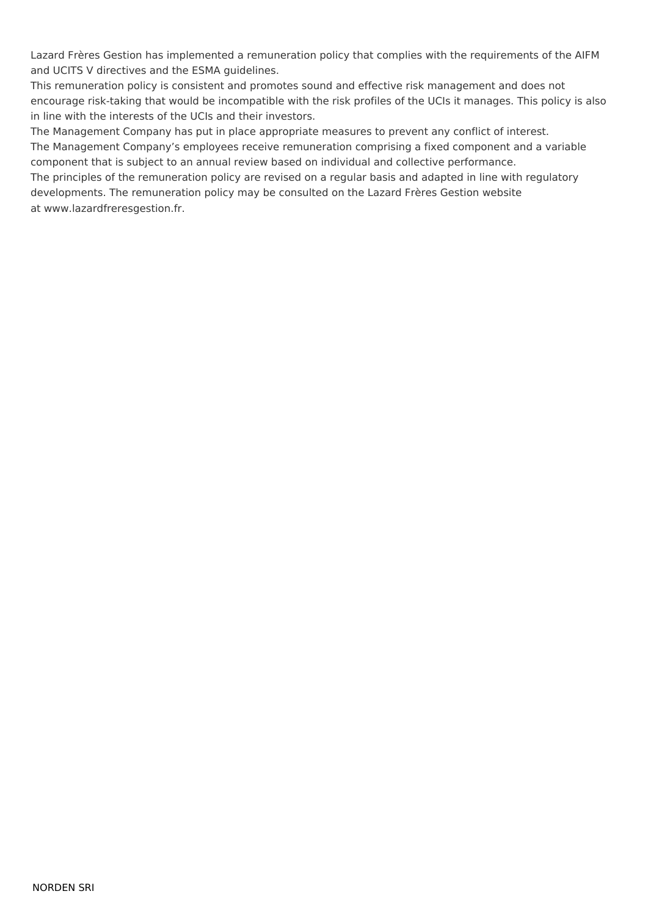Lazard Frères Gestion has implemented a remuneration policy that complies with the requirements of the AIFM and UCITS V directives and the ESMA guidelines.

This remuneration policy is consistent and promotes sound and effective risk management and does not encourage risk-taking that would be incompatible with the risk profiles of the UCIs it manages. This policy is also in line with the interests of the UCIs and their investors.

The Management Company has put in place appropriate measures to prevent any conflict of interest. The Management Company's employees receive remuneration comprising a fixed component and a variable component that is subject to an annual review based on individual and collective performance.

The principles of the remuneration policy are revised on a regular basis and adapted in line with regulatory developments. The remuneration policy may be consulted on the Lazard Frères Gestion website at www.lazardfreresgestion.fr.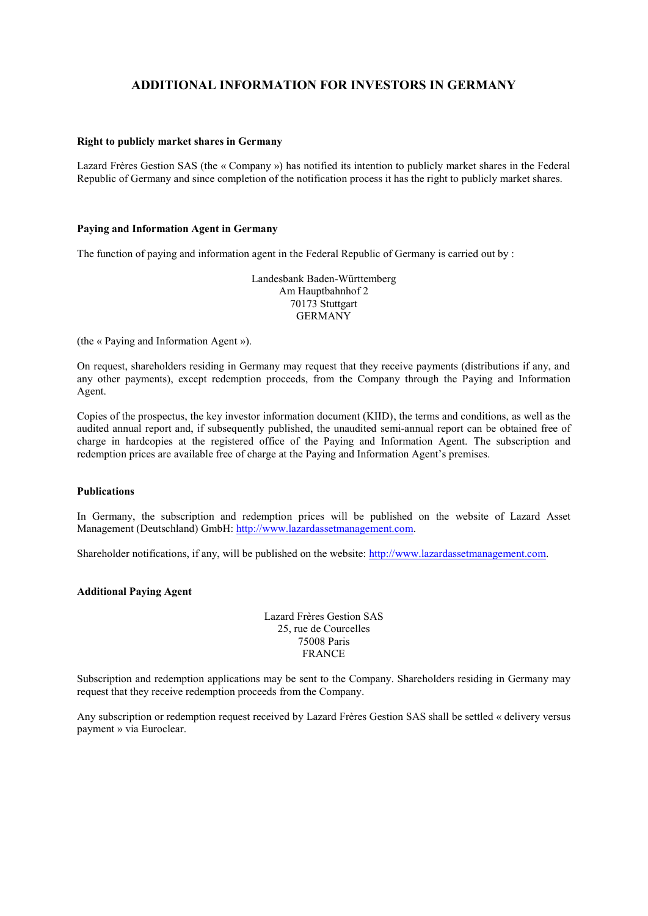# **ADDITIONAL INFORMATION FOR INVESTORS IN GERMANY**

#### **Right to publicly market shares in Germany**

Lazard Frères Gestion SAS (the « Company ») has notified its intention to publicly market shares in the Federal Republic of Germany and since completion of the notification process it has the right to publicly market shares.

#### **Paying and Information Agent in Germany**

The function of paying and information agent in the Federal Republic of Germany is carried out by :

Landesbank Baden-Württemberg Am Hauptbahnhof 2 70173 Stuttgart GERMANY

(the « Paying and Information Agent »).

On request, shareholders residing in Germany may request that they receive payments (distributions if any, and any other payments), except redemption proceeds, from the Company through the Paying and Information Agent.

Copies of the prospectus, the key investor information document (KIID), the terms and conditions, as well as the audited annual report and, if subsequently published, the unaudited semi-annual report can be obtained free of charge in hardcopies at the registered office of the Paying and Information Agent. The subscription and redemption prices are available free of charge at the Paying and Information Agent's premises.

#### **Publications**

In Germany, the subscription and redemption prices will be published on the website of Lazard Asset Management (Deutschland) GmbH: [http://www.lazardassetmanagement.com.](http://www.lazardassetmanagement.com/)

Shareholder notifications, if any, will be published on the website: [http://www.lazardassetmanagement.com.](http://www.lazardassetmanagement.com/)

#### **Additional Paying Agent**

Lazard Frères Gestion SAS 25, rue de Courcelles 75008 Paris FRANCE

Subscription and redemption applications may be sent to the Company. Shareholders residing in Germany may request that they receive redemption proceeds from the Company.

Any subscription or redemption request received by Lazard Frères Gestion SAS shall be settled « delivery versus payment » via Euroclear.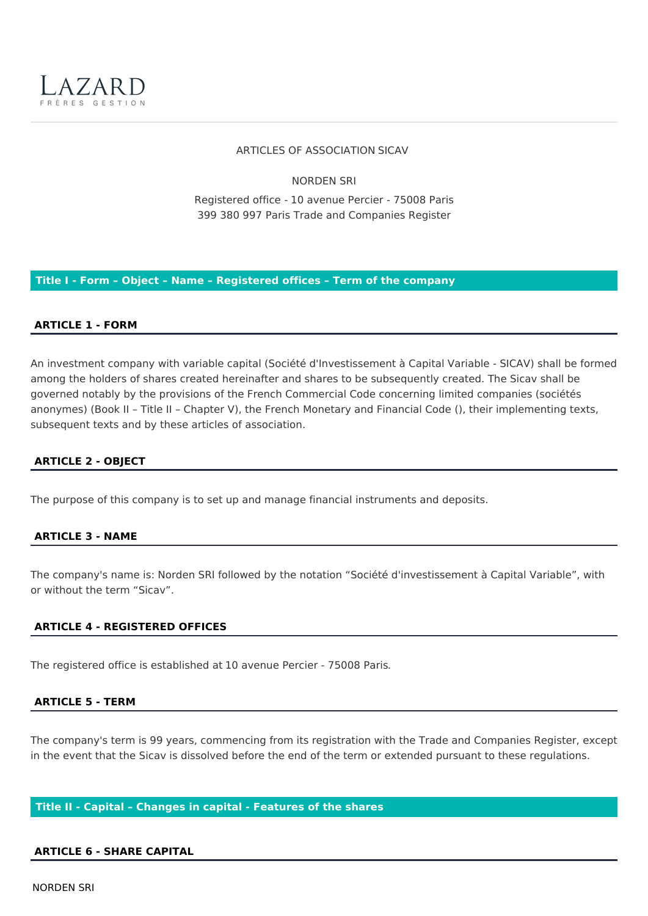

#### ARTICLES OF ASSOCIATION SICAV

**NORDEN SRI** 

Registered office - 10 avenue Percier - 75008 Paris 399 380 997 Paris Trade and Companies Register

Title I - Form - Object - Name - Registered offices - Term of the company

## **ARTICLE 1 - FORM**

An investment company with variable capital (Société d'Investissement à Capital Variable - SICAV) shall be formed among the holders of shares created hereinafter and shares to be subsequently created. The Sicav shall be governed notably by the provisions of the French Commercial Code concerning limited companies (sociétés anonymes) (Book II - Title II - Chapter V), the French Monetary and Financial Code (), their implementing texts, subsequent texts and by these articles of association.

#### **ARTICLE 2 - OBJECT**

The purpose of this company is to set up and manage financial instruments and deposits.

#### **ARTICLE 3 - NAME**

The company's name is: Norden SRI followed by the notation "Société d'investissement à Capital Variable", with or without the term "Sicay".

#### **ARTICLE 4 - REGISTERED OFFICES**

The registered office is established at 10 avenue Percier - 75008 Paris.

#### **ARTICLE 5 - TERM**

The company's term is 99 years, commencing from its registration with the Trade and Companies Register, except in the event that the Sicav is dissolved before the end of the term or extended pursuant to these regulations.

#### Title II - Capital - Changes in capital - Features of the shares

#### **ARTICLE 6 - SHARE CAPITAL**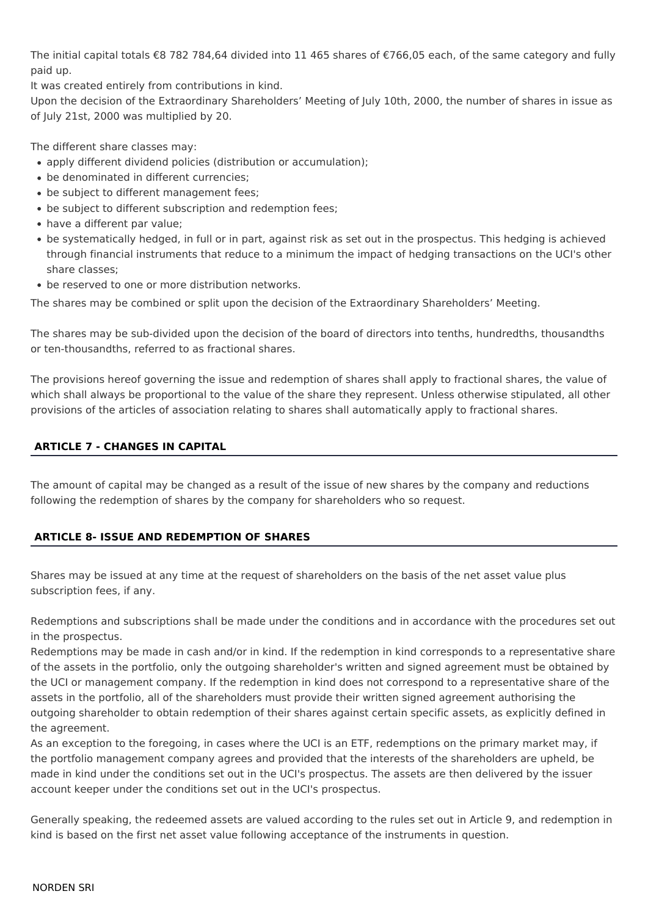The initial capital totals €8 782 784,64 divided into 11 465 shares of €766,05 each, of the same category and fully paid up.

It was created entirely from contributions in kind.

Upon the decision of the Extraordinary Shareholders' Meeting of July 10th, 2000, the number of shares in issue as of July 21st, 2000 was multiplied by 20.

The different share classes may:

- apply different dividend policies (distribution or accumulation);
- be denominated in different currencies:
- be subject to different management fees;
- be subject to different subscription and redemption fees;
- have a different par value;
- be systematically hedged, in full or in part, against risk as set out in the prospectus. This hedging is achieved through financial instruments that reduce to a minimum the impact of hedging transactions on the UCI's other share classes;
- be reserved to one or more distribution networks.

The shares may be combined or split upon the decision of the Extraordinary Shareholders' Meeting.

The shares may be sub-divided upon the decision of the board of directors into tenths, hundredths, thousandths or ten-thousandths, referred to as fractional shares.

The provisions hereof governing the issue and redemption of shares shall apply to fractional shares, the value of which shall always be proportional to the value of the share they represent. Unless otherwise stipulated, all other provisions of the articles of association relating to shares shall automatically apply to fractional shares.

# **ARTICLE 7 - CHANGES IN CAPITAL**

The amount of capital may be changed as a result of the issue of new shares by the company and reductions following the redemption of shares by the company for shareholders who so request.

# **ARTICLE 8- ISSUE AND REDEMPTION OF SHARES**

Shares may be issued at any time at the request of shareholders on the basis of the net asset value plus subscription fees, if any.

Redemptions and subscriptions shall be made under the conditions and in accordance with the procedures set out in the prospectus.

Redemptions may be made in cash and/or in kind. If the redemption in kind corresponds to a representative share of the assets in the portfolio, only the outgoing shareholder's written and signed agreement must be obtained by the UCI or management company. If the redemption in kind does not correspond to a representative share of the assets in the portfolio, all of the shareholders must provide their written signed agreement authorising the outgoing shareholder to obtain redemption of their shares against certain specific assets, as explicitly defined in the agreement.

As an exception to the foregoing, in cases where the UCI is an ETF, redemptions on the primary market may, if the portfolio management company agrees and provided that the interests of the shareholders are upheld, be made in kind under the conditions set out in the UCI's prospectus. The assets are then delivered by the issuer account keeper under the conditions set out in the UCI's prospectus.

Generally speaking, the redeemed assets are valued according to the rules set out in Article 9, and redemption in kind is based on the first net asset value following acceptance of the instruments in question.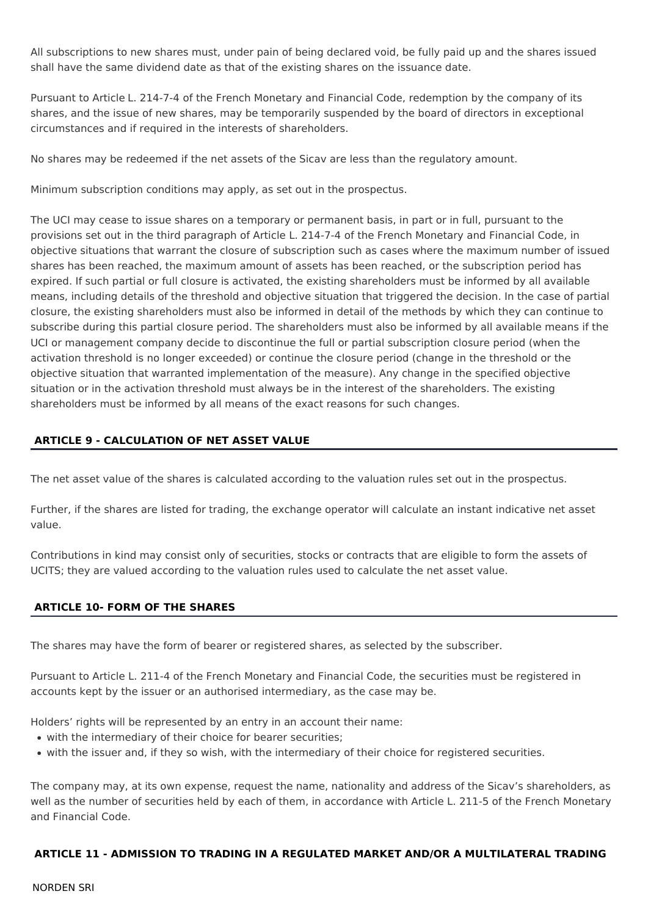All subscriptions to new shares must, under pain of being declared void, be fully paid up and the shares issued shall have the same dividend date as that of the existing shares on the issuance date.

Pursuant to Article L. 214-7-4 of the French Monetary and Financial Code, redemption by the company of its shares, and the issue of new shares, may be temporarily suspended by the board of directors in exceptional circumstances and if required in the interests of shareholders.

No shares may be redeemed if the net assets of the Sicav are less than the regulatory amount.

Minimum subscription conditions may apply, as set out in the prospectus.

The UCI may cease to issue shares on a temporary or permanent basis, in part or in full, pursuant to the provisions set out in the third paragraph of Article L. 214-7-4 of the French Monetary and Financial Code, in objective situations that warrant the closure of subscription such as cases where the maximum number of issued shares has been reached, the maximum amount of assets has been reached, or the subscription period has expired. If such partial or full closure is activated, the existing shareholders must be informed by all available means, including details of the threshold and objective situation that triggered the decision. In the case of partial closure, the existing shareholders must also be informed in detail of the methods by which they can continue to subscribe during this partial closure period. The shareholders must also be informed by all available means if the UCI or management company decide to discontinue the full or partial subscription closure period (when the activation threshold is no longer exceeded) or continue the closure period (change in the threshold or the objective situation that warranted implementation of the measure). Any change in the specified objective situation or in the activation threshold must always be in the interest of the shareholders. The existing shareholders must be informed by all means of the exact reasons for such changes.

# **ARTICLE 9 - CALCULATION OF NET ASSET VALUE**

The net asset value of the shares is calculated according to the valuation rules set out in the prospectus.

Further, if the shares are listed for trading, the exchange operator will calculate an instant indicative net asset value.

Contributions in kind may consist only of securities, stocks or contracts that are eligible to form the assets of UCITS; they are valued according to the valuation rules used to calculate the net asset value.

## **ARTICLE 10- FORM OF THE SHARES**

The shares may have the form of bearer or registered shares, as selected by the subscriber.

Pursuant to Article L. 211-4 of the French Monetary and Financial Code, the securities must be registered in accounts kept by the issuer or an authorised intermediary, as the case may be.

Holders' rights will be represented by an entry in an account their name:

- with the intermediary of their choice for bearer securities;
- with the issuer and, if they so wish, with the intermediary of their choice for registered securities.

The company may, at its own expense, request the name, nationality and address of the Sicav's shareholders, as well as the number of securities held by each of them, in accordance with Article L. 211-5 of the French Monetary and Financial Code.

## ARTICLE 11 - ADMISSION TO TRADING IN A REGULATED MARKET AND/OR A MULTILATERAL TRADING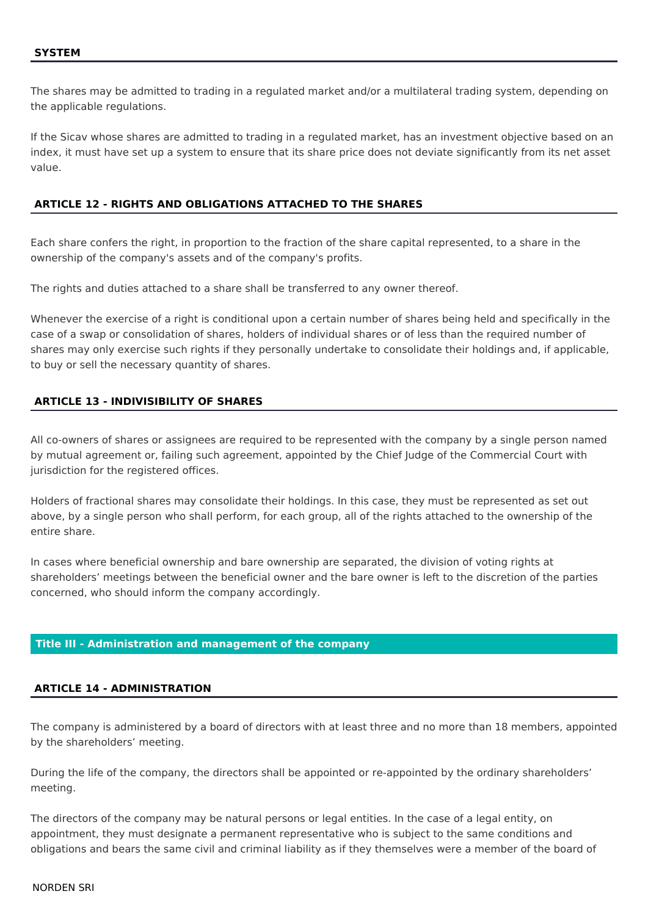The shares may be admitted to trading in a regulated market and/or a multilateral trading system, depending on the applicable regulations.

If the Sicav whose shares are admitted to trading in a regulated market, has an investment objective based on an index, it must have set up a system to ensure that its share price does not deviate significantly from its net asset value.

## **ARTICLE 12 - RIGHTS AND OBLIGATIONS ATTACHED TO THE SHARES**

Each share confers the right, in proportion to the fraction of the share capital represented, to a share in the ownership of the company's assets and of the company's profits.

The rights and duties attached to a share shall be transferred to any owner thereof.

Whenever the exercise of a right is conditional upon a certain number of shares being held and specifically in the case of a swap or consolidation of shares, holders of individual shares or of less than the required number of shares may only exercise such rights if they personally undertake to consolidate their holdings and, if applicable, to buy or sell the necessary quantity of shares.

# **ARTICLE 13 - INDIVISIBILITY OF SHARES**

All co-owners of shares or assignees are required to be represented with the company by a single person named by mutual agreement or, failing such agreement, appointed by the Chief Judge of the Commercial Court with jurisdiction for the registered offices.

Holders of fractional shares may consolidate their holdings. In this case, they must be represented as set out above, by a single person who shall perform, for each group, all of the rights attached to the ownership of the entire share.

In cases where beneficial ownership and bare ownership are separated, the division of voting rights at shareholders' meetings between the beneficial owner and the bare owner is left to the discretion of the parties concerned, who should inform the company accordingly.

#### Title III - Administration and management of the company

#### **ARTICLE 14 - ADMINISTRATION**

The company is administered by a board of directors with at least three and no more than 18 members, appointed by the shareholders' meeting.

During the life of the company, the directors shall be appointed or re-appointed by the ordinary shareholders' meeting.

The directors of the company may be natural persons or legal entities. In the case of a legal entity, on appointment, they must designate a permanent representative who is subject to the same conditions and obligations and bears the same civil and criminal liability as if they themselves were a member of the board of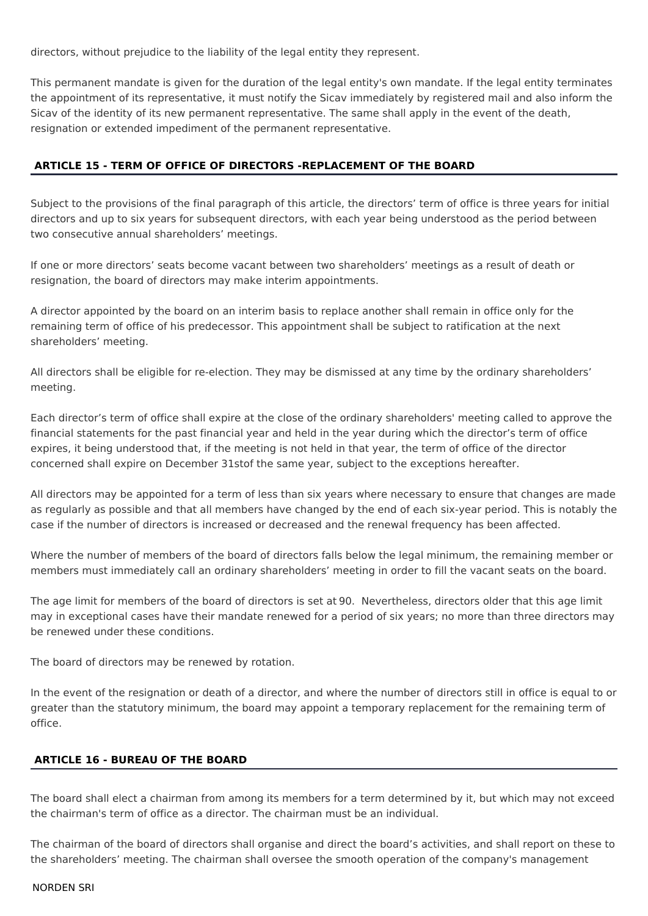directors, without prejudice to the liability of the legal entity they represent.

This permanent mandate is given for the duration of the legal entity's own mandate. If the legal entity terminates the appointment of its representative, it must notify the Sicav immediately by registered mail and also inform the Sicav of the identity of its new permanent representative. The same shall apply in the event of the death, resignation or extended impediment of the permanent representative.

# ARTICLE 15 - TERM OF OFFICE OF DIRECTORS -REPLACEMENT OF THE BOARD

Subject to the provisions of the final paragraph of this article, the directors' term of office is three years for initial directors and up to six years for subsequent directors, with each year being understood as the period between two consecutive annual shareholders' meetings.

If one or more directors' seats become vacant between two shareholders' meetings as a result of death or resignation, the board of directors may make interim appointments.

A director appointed by the board on an interim basis to replace another shall remain in office only for the remaining term of office of his predecessor. This appointment shall be subject to ratification at the next shareholders' meeting.

All directors shall be eligible for re-election. They may be dismissed at any time by the ordinary shareholders' meeting.

Each director's term of office shall expire at the close of the ordinary shareholders' meeting called to approve the financial statements for the past financial year and held in the year during which the director's term of office expires, it being understood that, if the meeting is not held in that year, the term of office of the director concerned shall expire on December 31stof the same year, subject to the exceptions hereafter.

All directors may be appointed for a term of less than six years where necessary to ensure that changes are made as regularly as possible and that all members have changed by the end of each six-year period. This is notably the case if the number of directors is increased or decreased and the renewal frequency has been affected.

Where the number of members of the board of directors falls below the legal minimum, the remaining member or members must immediately call an ordinary shareholders' meeting in order to fill the vacant seats on the board.

The age limit for members of the board of directors is set at 90. Nevertheless, directors older that this age limit may in exceptional cases have their mandate renewed for a period of six years; no more than three directors may be renewed under these conditions.

The board of directors may be renewed by rotation.

In the event of the resignation or death of a director, and where the number of directors still in office is equal to or greater than the statutory minimum, the board may appoint a temporary replacement for the remaining term of office.

## **ARTICLE 16 - BUREAU OF THE BOARD**

The board shall elect a chairman from among its members for a term determined by it, but which may not exceed the chairman's term of office as a director. The chairman must be an individual.

The chairman of the board of directors shall organise and direct the board's activities, and shall report on these to the shareholders' meeting. The chairman shall oversee the smooth operation of the company's management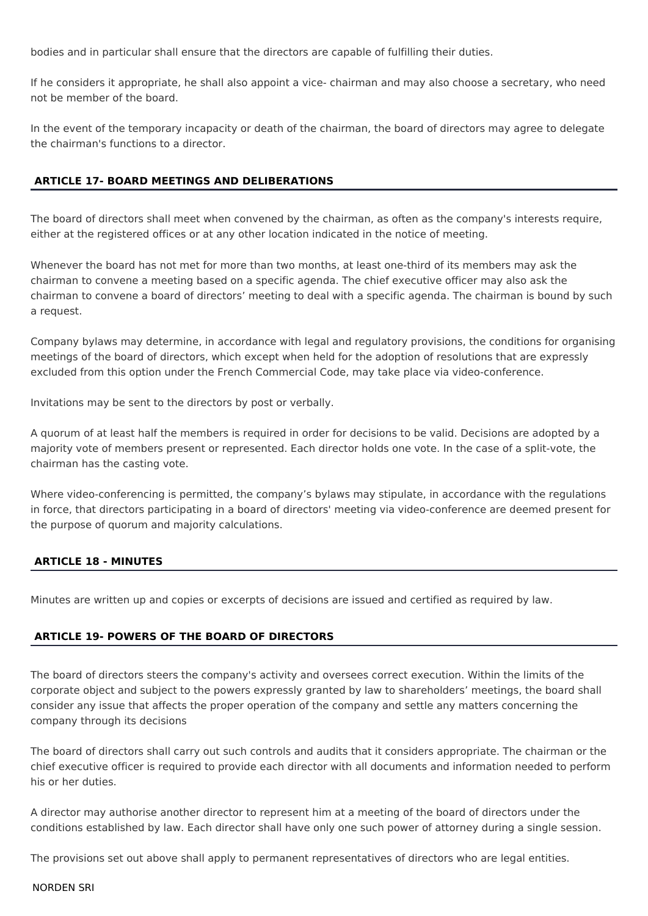bodies and in particular shall ensure that the directors are capable of fulfilling their duties.

If he considers it appropriate, he shall also appoint a vice- chairman and may also choose a secretary, who need not be member of the board.

In the event of the temporary incapacity or death of the chairman, the board of directors may agree to delegate the chairman's functions to a director.

## **ARTICLE 17- BOARD MEETINGS AND DELIBERATIONS**

The board of directors shall meet when convened by the chairman, as often as the company's interests require, either at the registered offices or at any other location indicated in the notice of meeting.

Whenever the board has not met for more than two months, at least one-third of its members may ask the chairman to convene a meeting based on a specific agenda. The chief executive officer may also ask the chairman to convene a board of directors' meeting to deal with a specific agenda. The chairman is bound by such a request.

Company bylaws may determine, in accordance with legal and regulatory provisions, the conditions for organising meetings of the board of directors, which except when held for the adoption of resolutions that are expressly excluded from this option under the French Commercial Code, may take place via video-conference.

Invitations may be sent to the directors by post or verbally.

A quorum of at least half the members is required in order for decisions to be valid. Decisions are adopted by a majority vote of members present or represented. Each director holds one vote. In the case of a split-vote, the chairman has the casting vote.

Where video-conferencing is permitted, the company's bylaws may stipulate, in accordance with the regulations in force, that directors participating in a board of directors' meeting via video-conference are deemed present for the purpose of quorum and majority calculations.

## **ARTICLE 18 - MINUTES**

Minutes are written up and copies or excerpts of decisions are issued and certified as required by law.

## **ARTICLE 19- POWERS OF THE BOARD OF DIRECTORS**

The board of directors steers the company's activity and oversees correct execution. Within the limits of the corporate object and subject to the powers expressly granted by law to shareholders' meetings, the board shall consider any issue that affects the proper operation of the company and settle any matters concerning the company through its decisions

The board of directors shall carry out such controls and audits that it considers appropriate. The chairman or the chief executive officer is required to provide each director with all documents and information needed to perform his or her duties

A director may authorise another director to represent him at a meeting of the board of directors under the conditions established by law. Each director shall have only one such power of attorney during a single session.

The provisions set out above shall apply to permanent representatives of directors who are legal entities.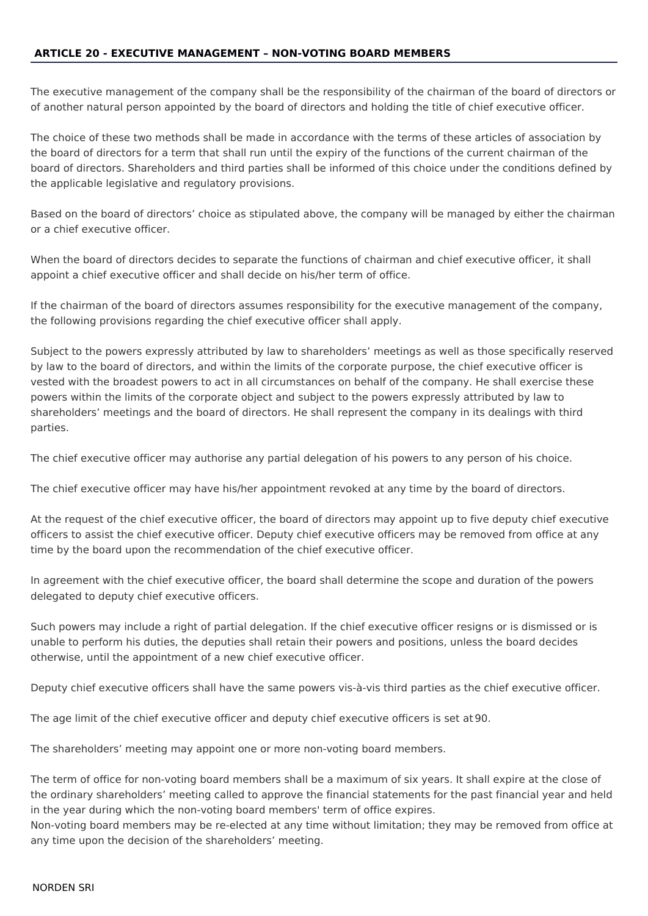## **ARTICLE 20 - EXECUTIVE MANAGEMENT - NON-VOTING BOARD MEMBERS**

The executive management of the company shall be the responsibility of the chairman of the board of directors or of another natural person appointed by the board of directors and holding the title of chief executive officer.

The choice of these two methods shall be made in accordance with the terms of these articles of association by the board of directors for a term that shall run until the expiry of the functions of the current chairman of the board of directors. Shareholders and third parties shall be informed of this choice under the conditions defined by the applicable legislative and regulatory provisions.

Based on the board of directors' choice as stipulated above, the company will be managed by either the chairman or a chief executive officer.

When the board of directors decides to separate the functions of chairman and chief executive officer, it shall appoint a chief executive officer and shall decide on his/her term of office.

If the chairman of the board of directors assumes responsibility for the executive management of the company. the following provisions regarding the chief executive officer shall apply.

Subject to the powers expressly attributed by law to shareholders' meetings as well as those specifically reserved by law to the board of directors, and within the limits of the corporate purpose, the chief executive officer is vested with the broadest powers to act in all circumstances on behalf of the company. He shall exercise these powers within the limits of the corporate object and subject to the powers expressly attributed by law to shareholders' meetings and the board of directors. He shall represent the company in its dealings with third parties.

The chief executive officer may authorise any partial delegation of his powers to any person of his choice.

The chief executive officer may have his/her appointment revoked at any time by the board of directors.

At the request of the chief executive officer, the board of directors may appoint up to five deputy chief executive officers to assist the chief executive officer. Deputy chief executive officers may be removed from office at any time by the board upon the recommendation of the chief executive officer.

In agreement with the chief executive officer, the board shall determine the scope and duration of the powers delegated to deputy chief executive officers.

Such powers may include a right of partial delegation. If the chief executive officer resigns or is dismissed or is unable to perform his duties, the deputies shall retain their powers and positions, unless the board decides otherwise, until the appointment of a new chief executive officer.

Deputy chief executive officers shall have the same powers vis-à-vis third parties as the chief executive officer.

The age limit of the chief executive officer and deputy chief executive officers is set at 90.

The shareholders' meeting may appoint one or more non-voting board members.

The term of office for non-voting board members shall be a maximum of six years. It shall expire at the close of the ordinary shareholders' meeting called to approve the financial statements for the past financial year and held in the year during which the non-voting board members' term of office expires.

Non-voting board members may be re-elected at any time without limitation; they may be removed from office at any time upon the decision of the shareholders' meeting.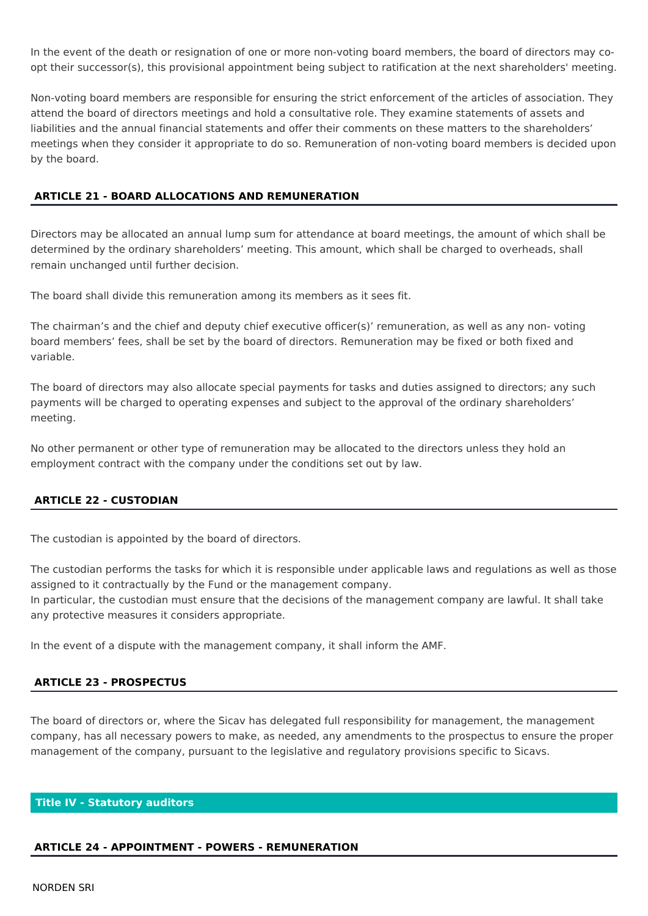In the event of the death or resignation of one or more non-voting board members, the board of directors may coopt their successor(s), this provisional appointment being subject to ratification at the next shareholders' meeting.

Non-voting board members are responsible for ensuring the strict enforcement of the articles of association. They attend the board of directors meetings and hold a consultative role. They examine statements of assets and liabilities and the annual financial statements and offer their comments on these matters to the shareholders' meetings when they consider it appropriate to do so. Remuneration of non-voting board members is decided upon by the board.

# **ARTICLE 21 - BOARD ALLOCATIONS AND REMUNERATION**

Directors may be allocated an annual lump sum for attendance at board meetings, the amount of which shall be determined by the ordinary shareholders' meeting. This amount, which shall be charged to overheads, shall remain unchanged until further decision.

The board shall divide this remuneration among its members as it sees fit.

The chairman's and the chief and deputy chief executive officer(s)' remuneration, as well as any non-voting board members' fees, shall be set by the board of directors. Remuneration may be fixed or both fixed and variable.

The board of directors may also allocate special payments for tasks and duties assigned to directors; any such payments will be charged to operating expenses and subject to the approval of the ordinary shareholders' meeting.

No other permanent or other type of remuneration may be allocated to the directors unless they hold an employment contract with the company under the conditions set out by law.

## **ARTICLE 22 - CUSTODIAN**

The custodian is appointed by the board of directors.

The custodian performs the tasks for which it is responsible under applicable laws and regulations as well as those assigned to it contractually by the Fund or the management company.

In particular, the custodian must ensure that the decisions of the management company are lawful. It shall take any protective measures it considers appropriate.

In the event of a dispute with the management company, it shall inform the AMF.

## **ARTICLE 23 - PROSPECTUS**

The board of directors or, where the Sicay has delegated full responsibility for management, the management company, has all necessary powers to make, as needed, any amendments to the prospectus to ensure the proper management of the company, pursuant to the legislative and regulatory provisions specific to Sicavs.

## **Title IV - Statutory auditors**

#### **ARTICLE 24 - APPOINTMENT - POWERS - REMUNERATION**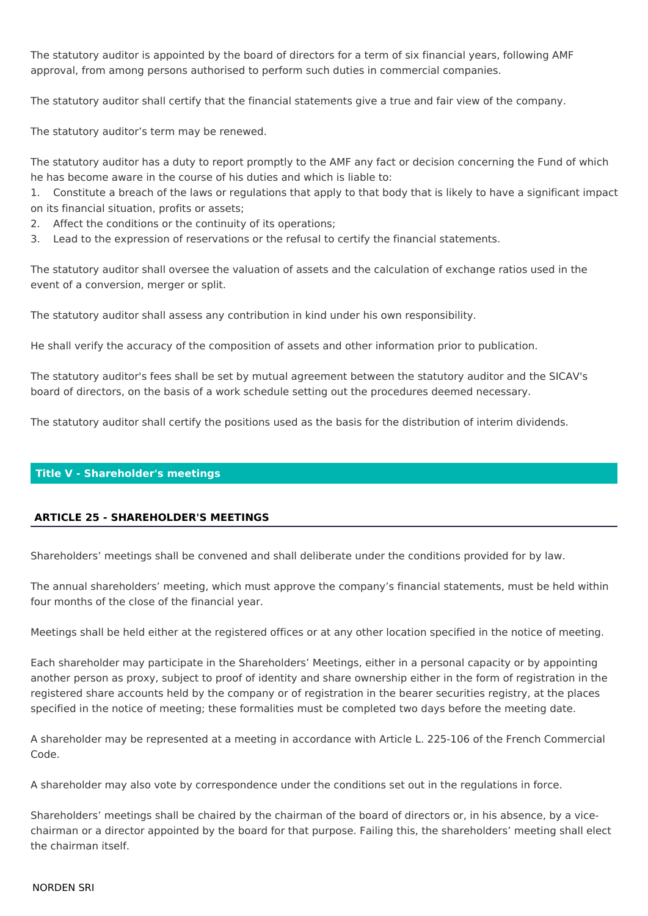The statutory auditor is appointed by the board of directors for a term of six financial years, following AMF approval, from among persons authorised to perform such duties in commercial companies.

The statutory auditor shall certify that the financial statements give a true and fair view of the company.

The statutory auditor's term may be renewed.

The statutory auditor has a duty to report promptly to the AMF any fact or decision concerning the Fund of which he has become aware in the course of his duties and which is liable to:

1. Constitute a breach of the laws or regulations that apply to that body that is likely to have a significant impact on its financial situation, profits or assets;

- 2. Affect the conditions or the continuity of its operations;
- Lead to the expression of reservations or the refusal to certify the financial statements.  $3.$

The statutory auditor shall oversee the valuation of assets and the calculation of exchange ratios used in the event of a conversion, merger or split.

The statutory auditor shall assess any contribution in kind under his own responsibility.

He shall verify the accuracy of the composition of assets and other information prior to publication.

The statutory auditor's fees shall be set by mutual agreement between the statutory auditor and the SICAV's board of directors, on the basis of a work schedule setting out the procedures deemed necessary.

The statutory auditor shall certify the positions used as the basis for the distribution of interim dividends.

## **Title V - Shareholder's meetings**

## **ARTICLE 25 - SHAREHOLDER'S MEETINGS**

Shareholders' meetings shall be convened and shall deliberate under the conditions provided for by law.

The annual shareholders' meeting, which must approve the company's financial statements, must be held within four months of the close of the financial year.

Meetings shall be held either at the registered offices or at any other location specified in the notice of meeting.

Each shareholder may participate in the Shareholders' Meetings, either in a personal capacity or by appointing another person as proxy, subject to proof of identity and share ownership either in the form of registration in the registered share accounts held by the company or of registration in the bearer securities registry, at the places specified in the notice of meeting; these formalities must be completed two days before the meeting date.

A shareholder may be represented at a meeting in accordance with Article L. 225-106 of the French Commercial Code.

A shareholder may also vote by correspondence under the conditions set out in the regulations in force.

Shareholders' meetings shall be chaired by the chairman of the board of directors or, in his absence, by a vicechairman or a director appointed by the board for that purpose. Failing this, the shareholders' meeting shall elect the chairman itself.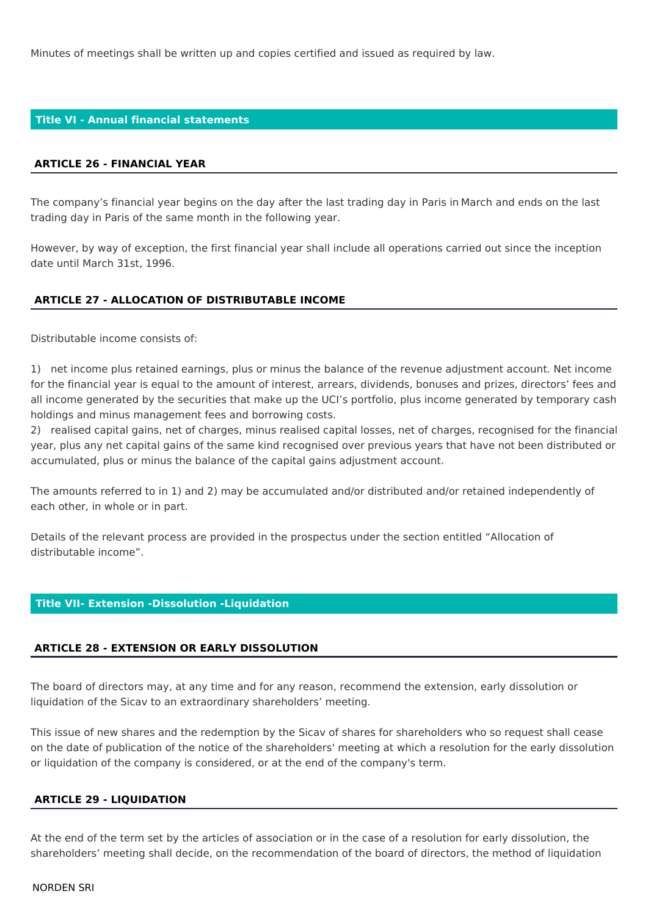Minutes of meetings shall be written up and copies certified and issued as required by law.

#### **Title VI - Annual financial statements**

#### **ARTICLE 26 - FINANCIAL YEAR**

The company's financial year begins on the day after the last trading day in Paris in March and ends on the last trading day in Paris of the same month in the following year.

However, by way of exception, the first financial year shall include all operations carried out since the inception date until March 31st, 1996.

#### **ARTICLE 27 - ALLOCATION OF DISTRIBUTABLE INCOME**

Distributable income consists of:

1) net income plus retained earnings, plus or minus the balance of the revenue adjustment account. Net income for the financial year is equal to the amount of interest, arrears, dividends, bonuses and prizes, directors' fees and all income generated by the securities that make up the UCI's portfolio, plus income generated by temporary cash holdings and minus management fees and borrowing costs.

2) realised capital gains, net of charges, minus realised capital losses, net of charges, recognised for the financial year, plus any net capital gains of the same kind recognised over previous years that have not been distributed or accumulated, plus or minus the balance of the capital gains adjustment account.

The amounts referred to in 1) and 2) may be accumulated and/or distributed and/or retained independently of each other, in whole or in part.

Details of the relevant process are provided in the prospectus under the section entitled "Allocation of distributable income".

#### **Title VII- Extension -Dissolution -Liquidation**

#### **ARTICLE 28 - EXTENSION OR EARLY DISSOLUTION**

The board of directors may, at any time and for any reason, recommend the extension, early dissolution or liquidation of the Sicav to an extraordinary shareholders' meeting.

This issue of new shares and the redemption by the Sicav of shares for shareholders who so request shall cease on the date of publication of the notice of the shareholders' meeting at which a resolution for the early dissolution or liquidation of the company is considered, or at the end of the company's term.

#### **ARTICLE 29 - LIQUIDATION**

At the end of the term set by the articles of association or in the case of a resolution for early dissolution, the shareholders' meeting shall decide, on the recommendation of the board of directors, the method of liquidation